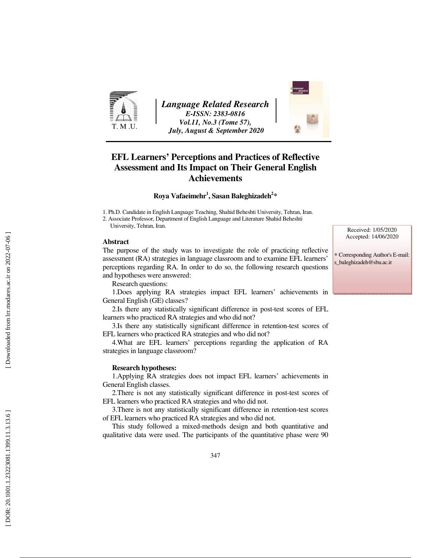

*Language Related Research E-ISSN: 2383-0816 Vol.11, No.3 (Tome 57), July, August & September 2020* 



# **EFL Learners' Perceptions and Practices of Reflective Assessment and Its Impact on Their General English Achievements**

**Roya Vafaeimehr 1 , Sasan Baleghizadeh 2 \*** 

1. Ph.D. Candidate in English Language Teaching, Shahid Beheshti University, Tehran, Iran.

2. Associate Professor, Department of English Language and Literature Shahid Beheshti University, Tehran, Iran.

#### **Abstract**

The purpose of the study was to investigate the role of practicing reflective assessment (RA) strategies in language classroom and to examine EFL learners' perceptions regarding RA. In order to do so, the following research questions and hypotheses were answered:

Research questions:

1.Does applying RA strategies impact EFL learners' achievements in General English (GE) classes?

2.Is there any statistically significant difference in post-test scores of EFL learners who practiced RA strategies and who did not?

3.Is there any statistically significant difference in retention-test scores of EFL learners who practiced RA strategies and who did not?

4.What are EFL learners' perceptions regarding the application of RA strategies in language classroom?

#### **Research hypotheses:**

1.Applying RA strategies does not impact EFL learners' achievements in General English classes.

2.There is not any statistically significant difference in post-test scores of EFL learners who practiced RA strategies and who did not.

3.There is not any statistically significant difference in retention-test scores of EFL learners who practiced RA strategies and who did not.

This study followed a mixed-methods design and both quantitative and qualitative data were used. The participants of the quantitative phase were 90

Received: 1/05/2020 Accepted: 14/06/2020

∗ Corresponding Author's E-mail: s\_baleghizadeh@sbu.ac.ir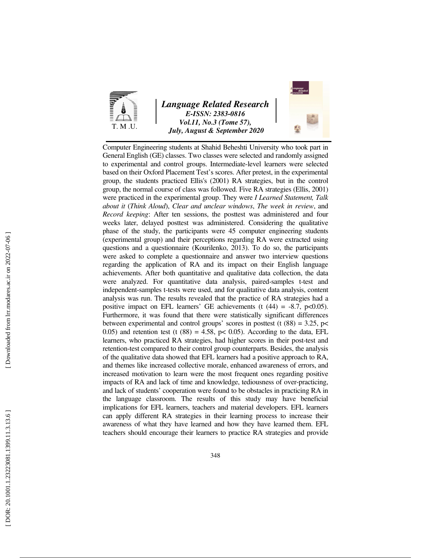

### *Language Related Research E-ISSN: 2383-0816 Vol.11, No.3 (Tome 57), July, August & September 2020*



Computer Engineering students at Shahid Beheshti University who took part in General English (GE) classes. Two classes were selected and randomly assigned to experimental and control groups. Intermediate-level learners were selected based on their Oxford Placement Test's scores. After pretest, in the experimental group, the students practiced Ellis's (2001) RA strategies, but in the control group, the normal course of class was followed. Five RA strategies (Ellis, 2001) were practiced in the experimental group. They were *I Learned Statement, Talk about it* (*Think Aloud*), *Clear and unclear windows*, *The week in review*, and *Record keeping*: After ten sessions, the posttest was administered and four weeks later, delayed posttest was administered. Considering the qualitative phase of the study, the participants were 45 computer engineering students (experimental group) and their perceptions regarding RA were extracted using questions and a questionnaire (Kourilenko, 2013). To do so, the participants were asked to complete a questionnaire and answer two interview questions regarding the application of RA and its impact on their English language achievements. After both quantitative and qualitative data collection, the data were analyzed. For quantitative data analysis, paired-samples t-test and independent-samples t-tests were used, and for qualitative data analysis, content analysis was run. The results revealed that the practice of RA strategies had a positive impact on EFL learners' GE achievements (t  $(44) = -8.7$ , p $< 0.05$ ). Furthermore, it was found that there were statistically significant differences between experimental and control groups' scores in posttest (t  $(88) = 3.25$ , p< 0.05) and retention test (t  $(88) = 4.58$ ,  $p < 0.05$ ). According to the data, EFL learners, who practiced RA strategies, had higher scores in their post-test and retention-test compared to their control group counterparts. Besides, the analysis of the qualitative data showed that EFL learners had a positive approach to RA, and themes like increased collective morale, enhanced awareness of errors, and increased motivation to learn were the most frequent ones regarding positive impacts of RA and lack of time and knowledge, tediousness of over-practicing, and lack of students' cooperation were found to be obstacles in practicing RA in the language classroom. The results of this study may have beneficial implications for EFL learners, teachers and material developers. EFL learners can apply different RA strategies in their learning process to increase their awareness of what they have learned and how they have learned them. EFL teachers should encourage their learners to practice RA strategies and provide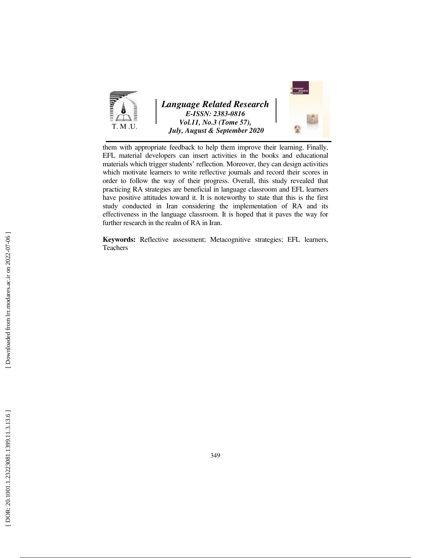

them with appropriate feedback to help them improve their learning. Finally, EFL material developers can insert activities in the books and educational materials which trigger students' reflection. Moreover, they can design activities which motivate learners to write reflective journals and record their scores in order to follow the way of their progress. Overall, this study revealed that practicing RA strategies are beneficial in language classroom and EFL learners have positive attitudes toward it. It is noteworthy to state that this is the first study conducted in Iran considering the implementation of RA and its effectiveness in the language classroom. It is hoped that it paves the way for further research in the realm of RA in Iran.

**Keywords:** Reflective assessment; Metacognitive strategies; EFL learners, Teachers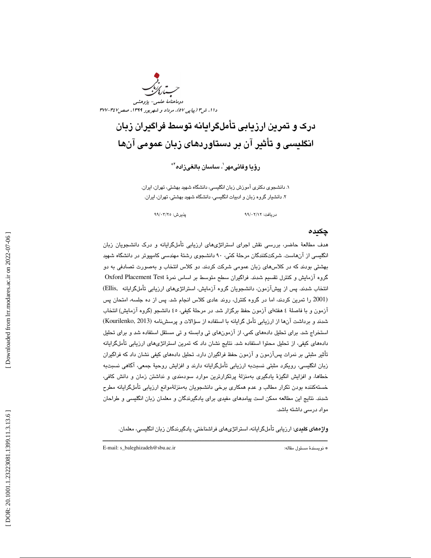

# درك و تمرين ارزيابي تأملگرايانه توسط فراگيران زبان انگليسي و تأثير آن بر دستاوردهاي زبان عمومي آنها

رؤيا وفائىمهر<sup>י</sup>، ساسان بالغىزاده<sup>؟</sup>\*

۰. دانشـجوی دکتری آموزش زبان انگلیسی، دانشگاه شـهید بهشتی، تهران، ایران. . دانشيار گروه زبان و ادبيات انگليسي، دانشگاه شهيد بهشتي، تهران، ايران. 2

دريافت: 12/ 02/ 99 پذيرش: 25/ 03/ 99

#### چكيده

هدف مطالعهٔ حاضر، بررسی نقش اجرای استراتژیهای ارزیابی تأملگرایانه و درک دانشجویان زبان انگليسي از آنهاست. شركتكنندگان مرحلة كمي ، 90 دانشجوي رشتة مهندسي كامپيوتر در دانشگاه شهيد بهشتي بودند كه در كلاسهاي زبان عمومي شركت كردند . دو كلاس انتخاب و بهصورت تصادفي به دو گروه آزمايش و كنترل تقسيم شدند. فراگيران سطح متوسط بر اساس نمرة Test Placement Oxford انتخاب شدند. پس از پيشآزمون، دانشجويان گروه آزمايش، استراتژيهاي ارزيابي تأملگرايانه ,Ellis( (2001 را تمرين كردند، اما در گروه كنترل، روند عادي كلاس انجام . شد پس از ده جلسه، امتحان پس آزمون و با فاصلة 4 هفتهاي آزمون حفظ برگزار شد. در مرحلة كيفي، 45 دانشجو (گروه آزمايش) انتخاب شدند و برداشت آنها از ارزيابي تأمل گرايانه با استفاده از سؤالات و پرسشنامه (Kourilenko, 2013) استخراج شد. براي تحليل دادههاي كمي، از آزمونهاي تي وابسته و تي مستقل استفاده شد و براي تحليل دادههاي كيفي، از تحليل محتوا استفاده شد. نتايج نشان داد كه تمرين استراتژيهاي ارزيابي تأملگرايانه تأثير مثبتي بر نمرات پسآزمون و آزمون حفظ فراگيران دارد. تحليل دادههاي كيفي نشان داد كه فراگيران زبان انگليسي، رويكرد مثبتي نسبتبه ارزيابي تأملگرايانه دارند و افزايش روحية جمعي، آگاهي نسبتبه خطاها، و افزايش انگيزة يادگيري بهمنزلة پرتكرارترين موارد سودمندي و نداشتن زمان و دانش كافي، خستهكننده بودن تكرار مطالب و عدم همكاري برخي دانشجويان بهمنزلةموانع ارزيابي تأملگرايانه مطرح شدند. نتايج اين مطالعه ممكن است پيامد*ه*ای مفيدی برای يادگيرندگان و معلمان زبان انگليسی و طراحان<br>مواد درس*ي* داشته باشد.

**واژههای کلیدی**: ارزیابی تأملگرایانه، استراتژیهای فراشناختی، یادگیرندگان زبان انگلیسی، معلمان.

ــــــــــــــــــــــــــــــــــــــــــــــــــــــــــــــــــــــــــــــــــــــــــــــــــــــــــــــــــــــــــــــــــــــــــ

E-mail: s\_baleghizadeh@sbu.ac.ir :مقاله مسئول نويسندة\*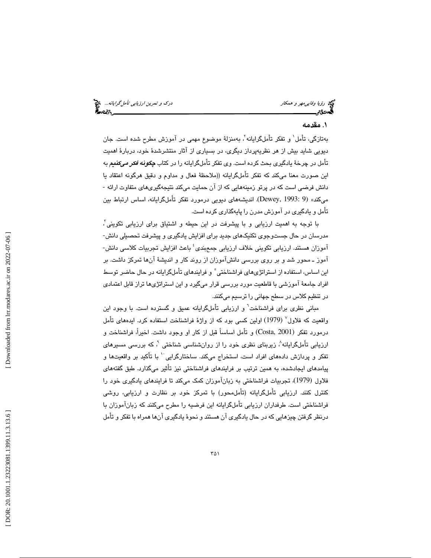ري ارزي*ابي تأمل گرايانه...*. چ<mark>ي</mark> تأمل *گرايانه...*. چي استفاده است.<br>**پس در**كتر در كار دركتر بين استفاده است. دركتر بين استفاده استفاده استفاده استفاده استفاده استفاده استفاده استفاده

# . مقدمه 1

بهتازگی، تأمل` و تفکر تأملگرایانه`، بهمنزلهٔ موضوع مهمی در آموزش مطرح شده است. جان ديويي شايد بيش از هر نظريهپرداز ديگري، در بسياري از آثار منتشرشدة خود ، دربارة اهميت تأمل در چرخة يادگيري بحث كرده است. وي تفكر تأملگرايانه را در كتاب چگونه فكر ميكنيم به اين صورت معنا ميكند كه تفكر تأملگرايانه (( ملاحظة فعال و مداوم و دقيق هرگونه اعتقاد يا دانش فرضی است که در پرتو زمینههایی که از آن حمایت میکند نتیجهگیریهای متفاوت ارائه -مي »كند (9 1993: ,Dewey(. انديشههاي ديويي درمورد تفكر تأملگرايانه، اساس ارتباط بين تأمل و يادگيري در آموزش مدرن را پايهگذاري كرده است .

 با توجه به اهميت ارزيابي و با پيشرفت در اين حيطه و اشتياق براي ارزيابي تكويني 3 ، مدرسان در حال جستوجوي تكنيكهاي جديد براي افزايش يادگيري و پيشرفت تحصيلي دانش- آموزان هستند. ارزيابي تكويني خلاف ارزيابي جمعٖبندي<sup>؛</sup> باعث افزايش تجربيات كلاس*ي* دانش-آموز ـ محور شد و بر روي بررسي دانشآموزان از روند كار و انديشهٔ آنها تمركز داشت. بر اين اساس، استفاده از استراتژيهاي فراشناختي ْ و فرايندهاي تأملگرايانه در حال حاضر توسط افراد جامعة آموزشي با قاطعيت مورد بررسي قرار ميگيرد و اين استراتژي ها تراز قابل اعتمادي در تنظيم كلاس در سطح جهاني را ترسيم ميكنند .

مبانی نظری برای فراشناخت<sup>٦</sup> و ارزیابی تأملگرایانه عمیق و گسترده است. با وجود این واقعيت كه فلاول<sup>√</sup> (1979) اولين كسى بود كه از واژهٔ فراشناخت استفاده كرد. ايدههاى تأمل درمورد تفكر (Costa, 2001) و تأمل اساساً قبل از كار او وجود داشت. اخيراً، فراشناخت و ارزيابي تأملگرايانه^، زيربنای نظری خود را از روانشناسی شناختی `، که بررسی مسیرهای تفكر و پردازش دادههاى افراد است، استخراج مىكند. ساختارگرايي<sup>۱۰</sup> با تأكيد بر واقعيتها و پيامدهاي ايجادشده، به همين ترتيب بر فرايندهاي فراشناختي نيز تأثير ميگذارد. طبق گفتههاي فلاول (1979) ، تجربيات فراشناختي به زبانآموزان كمك مي تا كند فرايندهاي يادگيري خود را كنترل كنند. ارزيابي تأملگرايانه (تأملمحور) با تمركز خود بر نظارت و ارزيابي، روشي فراشناختي است. طرفداران ارزيابي تأملگرايانه اين فرضيه را مطرح ميكنند كه زبانآموزان با درنظر گرفتن چيزهاي ي كه در حال يادگيري آن هستند و نحوة يادگيري آن ها همراه با تفكر و تأمل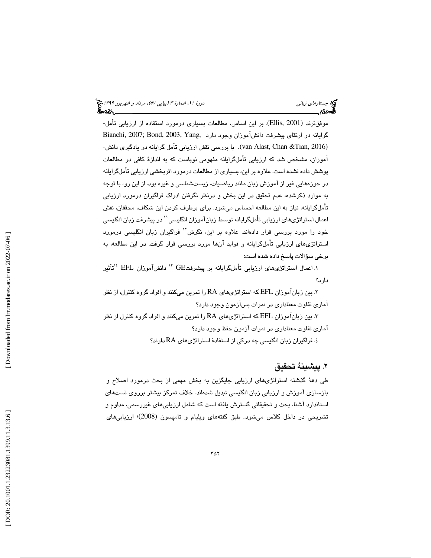موفقترند (2001 ,Ellis(. بر اين اساس، مطالعات بسياري درمورد استفاده از ارزيابي تأمل- گرايانه در ارتقاي پيشرفت دانشآموزان وجود دارد ,Bianchi, 2007; Bond, 2003, Yang (2016 ,Tian &Chan ,Alast van . ( با بررسي نقش ارزيابي تأمل گرايانه در يادگيري دانش- آموزان، مشخص شد كه ارزيابي تأملگرايانه مفهومي نوپاست كه به اندازهٔ كافي در مطالعات پوشش داده نشده است. علاوه بر اين، بسياري از مطالعات درمورد اثربخشي ارزيابي تأملگرايانه در حوزههايي غير از آموزش زبان مانند رياضيات، زيستشناسي و غيره بود. از اين رو، با توجه به موارد ذكرشده، عدم تحقيق در اين بخش و درنظر نگرفتن ادراك فراگيران درمورد ارزيابي تأملگرايانه، نياز به اين مطالعه احساس ميشود. براي برطرف كردن اين شكاف، محققان، نقش اعمال استراتژیهای ارزيابی تأملگرايانه توسط زبانآموزان انگليسي'' در پيشرفت زبان انگليسي خود را مورد بررسی قرار دادهاند. علاوه بر اين، نگرش<sup>۱۲</sup> فراگيران زبان انگليسی درمورد استراتژیهای ارزیابی تأملگرایانه و فواید آنها مورد بررسی قرار گرفت. در این مطالعه، به برخي سؤالات پاسخ داده شده است:

تأثير <sup>14</sup> آموزان EFL <sup>13</sup> دانش 1. اعمال استراتژيهاي ارزيابي تأملگرايانه بر پيشرفتGE دارد؟

 2. بين زبانآموزان EFL كه استراتژيهاي RA را تمرين ميكنند و افراد گروه كنترل، از نظر آماري تفاوت معناداري در نمرات پسآزمون وجود دارد؟

 3. بين زبانآموزان EFL كه استراتژيهاي RA را تمرين ميكنند و افراد گروه كنترل از نظر آماري تفاوت معناداري در نمرات آزمون حفظ وجود دارد؟

. فراگيران زبان انگليسي چه دركي از استفادة استراتژيهاي RA دارند؟ 4

# . پيشينة تحقيق 2

طی دههٔ گذشته استراتژیهای ارزیابی جایگزین به بخش مهمی از بحث درمورد اصلاح و بازسازی آموزش و ارزيابی زبان انگليسی تبديل شدهاند. خلاف تمرکز بيشتر برروی تستهای<br>استاندارد آشنا، بحث و تحقيقاتی گسترش يافته است که شامل ارزيابيهای غيررسمی، مداوم و تشريحي در داخل كلاس ميشود. طبق گفتههاي ويليام و تامپسون (2008)<sup>،</sup> ارزيابي هاي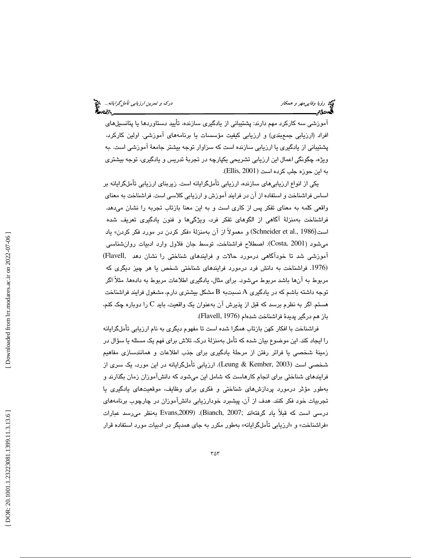آموزشي سه كاركرد مهم دارند: پشتيباني از يادگيري سازنده، تأييد دستاوردها يا پتانسيلهاي<br>افراد (ارزيابي جمعېندي) و ارزيابي كيفيت مؤسسات يا برنامههاي آموزشي. اولين كاركرد، پشتیبانی از یادگیری یا ارزیابی سازنده است که سزاوار توجه بیشتر جامعهٔ آموزشی است. .به ویژه، چگونگی اعمال این ارزیابی تشریحی یکپارچه در تجربهٔ تدریس و یادگیری، توجه بیشتری<br>به این حوزه جلب کرده است (Ellis, 2001).

يكي از انواع ارزيابيهاي سازنده، ارزيابي تأملگرايانه است. زيربناي ارزيابي تأملگرايانه بر اساس فراشناخت و استفاده از آن در فرايند آموزش و ارزيابي كلاسي است. فراشناخت به معناي واقعي كلمه به معناي تفكر پس از كاري است و به اين معنا بازتاب تجربه را نشان مي $\iota$ هد. فراشناخت بهمنزلهٔ آگاهی از الگوهای تفکر فرد، ویژگیها و فنون یادگیری تعریف شده است(Schneider et al., 1986) و معمولاً از آن بهمنزلة «فكر كردن در مورد فكر كردن» ياد ميشود ( 2001 ,Costa(. اصطلاح فراشناخت، توسط جان فلاول وارد ادبيات روانشناسي آموزشي شد تا خودآگاهي درمورد حالات و فرايندهاي شناختي را نشان دهد ,Flavell (1976. فراشناخت به دانش فرد درمورد فرايندهاي شناختي شخص يا هر چيز ديگري كه مربوط به آنها باشد مربوط ميشود. براي مثال، يادگيري اطلاعات مربوط به دادهها. مثلاً اگر توجه داشته باشم كه در يادگيري A نسبتبه B مشكل بيشتري دارم، مشغول فرايند فراشناخت هستم. اگر به نظرم برسد كه قبل از پذيرش آن بهعنوان يک واقعيت، بايد C را دوباره چک کنم، باز هم درگير پديدة فراشناخت شدهام (Flavell, 1976).

فراشناخت با افكار كهن بازتاب همگرا شده است تا مفهوم ديگري به نام ارزيابي تأملگرايانه را ايجاد كند. اين موضوع بيان شده كه تأمل بهمنزلة درك، تلاش براي فهم يك مسئله يا سؤال در زمينة شخصي يا فراتر رفتن از مرحلة يادگيري براي جذب اطلاعات و همانندسازي مفاهيم شخصي است (2003 ,Kember & Leung . (ارزيابي تأملگرايانه در اين مورد، يك سري از فرايندهاي شناختي براي انجام كارهاست كه شامل اين ميشود كه دانشآموزان زمان بگذارند و بهطور مؤثر درمورد پردازشهاي شناختي و فكري براي وظايف، موقعيتهاي يادگيري يا تجربيات خود فكر كنند. هدف از آن، پيشبرد خودارزيابي دانشآموزان در چارچوب برنامههاي درسي است كه قبلاً ياد گرفتهاند ;2007 ,Bianch(.) ,2009Evans بهنظر ميرسد عبارات «فراشناخت» و «ارزيابي تأملگرايانه» بەطور مكرر به جاي همديگر در ادبيات مورد استفاده قرار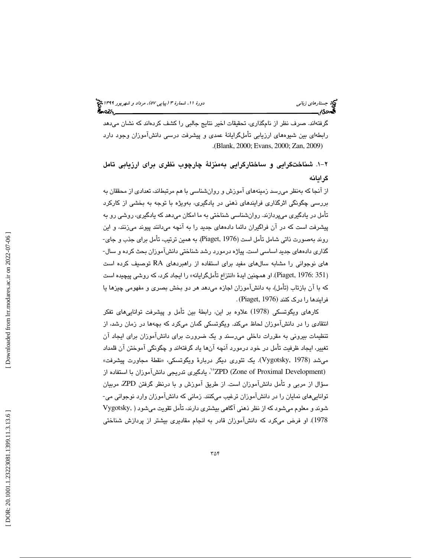گرفتهاند. صرف نظر از نامگذاري، تحقيقات اخير نتايج جالبي را كشف كرده اند كه نشان ميدهد رابطهاي بين شيوههاي ارزيابي تأملگرايانة عمدي و پيشرفت درسي دانشآموزان وجود دارد .(Blank, 2000; Evans, 2000; Zan, 2009)

-1 2 . شناختگرايي و ساختارگرايي به منزلة چارچوب نظري براي ارزيابي تامل گرايانه

از آنجا كه بهنظر مي رسد زمينههاي آموزش و روانشناسي با هم مرتبطاند، تعدادي از محققان به بررسي چگونگي اثرگذاري فرايندهاي ذهني در يادگيري، به ويژه با توجه به بخشي از كاركرد تأمل در يادگيري ميپردازند. روانشناسي شناختي ما به امكان ميدهد كه يادگيري، روشي به رو پيشرفت است كه در آن فراگيران دائما دادههاي جديد به را آنچه ميدانند پيوند ميزنند، و اين روند به صورت ذاتي شامل تأمل است ( 1976 ,Piaget(. به همين ترتيب، تأمل برا ي جذب و جاي- گذاري دادههاي جديد اساسي است. پياژه درمورد رشد شناختي دانشآموزان بحث كرده و سال- هاي نوجواني را مشابه سالهاي مفيد براي استفاده از راهبردهاي RA توصيف كرده است (Piaget, 1976: 351). او همچنين ايدهٔ «انتزاع تأملگرايانه» را ايجاد كرد، كه روشي پيچيده است که با آن بازتاب (تأمل)، به دانشآموزان اجازه میدهد هر دو بخش بصری و مفهومی چیزها یا<br>فرایندها را درک کنند (Piaget, 1976).

كارهاي ويگوتسكي (1978) علاوه بر اين ، رابطة بين تأمل و پيشرفت تواناييهاي تفكر انتقادي را در دانشآموزان لحاظ ميكند. ويگوتسكي گمان ميكرد كه بچه ها در زمان رشد، از تنظيمات بيروني به مقررات داخلي ميرسند و يك ضرورت براي دانشآموزان براي ايجاد آن تغيير، ايجاد ظرفيت تأمل در خود درمورد آنچه آنها ياد گرفتهاند و چگونگي آموختن آن قلمداد مي ( شد 1978 ,Vygotsky(. يك تئوري ديگر دربارة وي گوتسكي، « نقطة مجاورت پيشرفت» (Zone of Proximal Development) يادگيري تدريجي دانشآموزان با استفاده از سؤال از مربي و تأمل دانشآموزان است. از طريق آموزش و با درنظر گرفتن ZPD ، مربيان تواناييهاي نمايان را در دانشآموزان ترغيب ميكنند. زماني كه دانشآموزان وارد نوجواني مي- شوند و معلوم مي شود كه از نظر ذهني آگاهي بيشتري دارند، تأمل تقويت مي شود ( ,Vygotsky 1978). او فرض میکرد که دانشآموزان قادر به انجام مقادیری بیشتر از پردازش شناختی .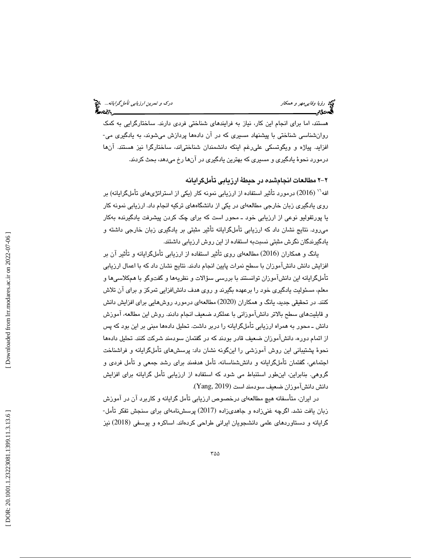هستند، اما براي انجام اين كار، نياز به فرايندهاي شناختي فردي دارند. ساختارگرايي به كمك روانشناسي شناختي با پيشنهاد مسيري كه در آن دادهما پردازش ميشوند، به يادگيري مي-افزايد. پياژه و ويگوتسكي عليرغم اينكه دانشمندان شناختياند، ساختارگرا نيز هستند. آن ها درمورد نحوة يادگيري و مسيري كه بهترين يادگيري در آن ها رخ ميدهد، بحث كردند .

-2 2 مطالعات انجامشده در حيطة ارزيابي تأملگرايانه

افه<sup>\\</sup> (2016) درمورد تأثير استفاده از ارزيابي نمونه كار (يكي از استراتژيهاي تأملگرايانه) بر روي يادگيري زبان خارجي مطالعهاي در يكي از دانشگاههاي تركيه انجام داد. ارزيابي نمونه كار يا پورتفوليو نوعي از ارزيابي خود ـ محور است كه براي چك كردن پيشرفت يادگيرنده بهكار ميرود. نتايج نشان داد كه ارزيابي تأملگرايانه تأثير مثبتي بر يادگيري زبان خارجي داشته و يادگيرندگان نگرش مثبتي نسبتبه استفاده از اين روش ارزيابي داشتند.

يانگ و همكاران (2016) مطالعهاى روى تأثير استفاده از ارزيابي تأملگرايانه و تأثير آن بر افزايش دانش دانشآموزان با سطح نمرات پايين انجام دادند. نتايج نشان داد كه با اعمال ارزيابي تأملگرايانه اين دانشآموزان توانستند با بررسي سؤالات و نظريهها و گفتوگو با همكلاسيها و معلم، مسئوليت يادگيري خود را برعهده بگيرند و روي هدف دانشافزايي تمركز و براي آن تلاش كنند. در تحقیقی جدید، یانگ و همكاران (2020) مطالعهای درمورد روش،هایی برای افزایش دانش و قابليتهاي سطح بالاتر دانشآموزاني با عملكرد ضعيف انجام دادند. روش اين مطالعه، آموزش دانش ـ محور به همراه ارزيابي تأملگرايانه را دربر داشت. تحليل دادهها مبني بر اين بود كه پس از اتمام دوره، دانشآموزان ضعيف قادر بودند كه در گفتمان سودمند شركت كنند. تحليل دادهها نحوة پشتيباني اين روش آموزشي را اينگونه نشان داد: پرسشهاي تأملگرايانه و فراشناخت اجتماعي، گفتمان تأملگرايانه و دانششناسانه، تأمل هدفمند براي رشد جمعي و تأمل فردي و گروهی. بنابراين، اينطور استنباط می شود كه استفاده از ارزيابی تأمل گرايانه برای افزايش<br>دانش دانشآموزان ضعيف سودمند است (Yang, 2019).

در ايران، متأسفانه هيچ مطالعهاي درخصوص ارزيابي تأمل گرايانه و كاربرد آن در آموزش زبان يافت نشد. اگرچه غنیزاده و جاهدیزاده (2017) پرسشنامهای برای سنجش تفکر تأمل-گرايانه و دستاوردهاي علمي دانشجويان ايراني طراحي كردهاند. اساكره و يوسفي (2018) نيز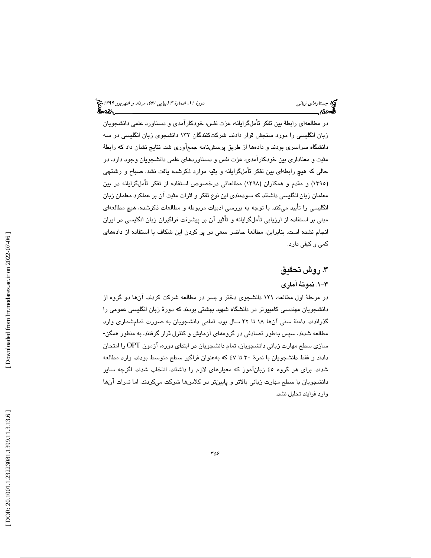در مطالعهاي رابطة بين تفكر تأملگرايانه، عزت نفس، خودكارآمدي و دستاورد علمي دانشجويان زبان انگليسي را مورد سنجش قرار دادند. شركتكنندگان 132 دانشجوي زبان انگليسي در سه دانشگاه سراسري بودند و دادهها از طريق پرسشنامه جمعآوري شد. نتايج نشان داد كه رابطة مثبت و معناداري بين خودكارآمدي، عزت نفس و دستاوردهاي علمي دانشجويان وجود دارد. در حالي كه هيچ رابطهاي بين تفكر تأملگرايانه و بقيه موارد ذكرشده يافت نشد. صباح و رشتچي (١٣٩٥) و مقدم و همكاران (١٣٩٨) مطالعاتي درخصوص استفاده از تفكر تأملگرايانه در بين معلمان زبان انگليسي داشتند كه سودمندي اين نوع تفكر و اثرات مثبت آن بر عملكرد معلمان زبان انگليسي را تأييد ميكند. با توجه به بررسي ادبيات مربوطه و مطالعات ذكرشده، هيچ مطالعهاي مبني بر استفاده از ارزيابي تأملگرايانه و تأثير آن بر پيشرفت فراگيران زبان انگليسي در ايران انجام نشده است. بنابراين، مطالعة حاضر سعي در پر كردن اين شكاف با استفاده از دادههاي كمي و كيفي دارد.

# .3 روش تحقيق

#### -1 3 . نمونة آماري

 در مرحلة اول مطالعه، 121 دانشجوي دختر و پسر در مطالعه شركت كردند. آن ها دو گروه از دانشجويان مهندسي كامپيوتر در دانشگاه شهيد بهشتي بودند كه دورهٔ زبان انگليسي عمومي را گذراندند. دامنهٔ سنی آنها ۱۸ تا ۲۲ سال بود. تمامی دانشجویان به صورت تمامشماری وارد مطالعه شدند، سپس بهطور تصادفي در گروههاي آزمايش و كنترل قرار گرفتند به. منظور همگن- سازي سطح مهارت زباني دانشجويان، تمام دانشجويان در ابتداي دوره، آزمون OPT را امتحان دادند و فقط دانشجويان با نمرة 30 تا 47 به كه عنوان فراگير سطح متوسط بودند، وارد مطالعه شدند. براي هر گروه 45 زبانآموز كه معيارهاي لازم را داشتند، انتخاب شدند. اگرچه ساير دانشجويان با سطح مهارت زباني بالاتر و پايين تر در كلاس ها شركت ميكردند، اما نمرات آن ها وارد فرايند تحليل نشد .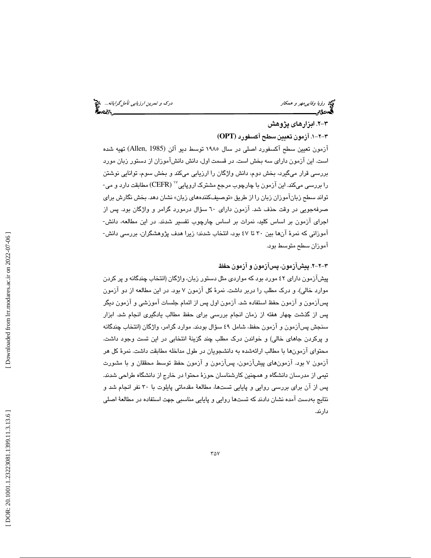ري ر*ؤيا وفايي مهر و همكار درك و تمرين ارزيابي تأمل گرايانه...*. چ<mark>ي</mark><br>پهندي مسلمان دركت بين است.<br>پهندي مسلمان بين الله تأمين الله تأمين الله تأمين الله تأمين الله تأمين الله تأمين الله تأمين الله تأمين الله

# -2 3 . ابزارهاي پژوهش

-1 -2 3 . آزمون تعيين سطح آكسفورد **(OPT(**

آزمون تعيين سطح آكسفورد اصلي در سال 1985 توسط ديو آلن (1985 ,Allen (تهيه شده است. اين آزمون داراي سه بخش است. در قسمت اول، دانش دانشآموزان از دستور زبان مورد بررسي قرار ميگيرد، بخش دوم، دانش واژگان را ارزيابي ميكند و بخش سوم، توانايي نوشتن را بررسی میکند. این آزمون با چارچوب مرجع مشترک اروپایی $\mathrm{(CEFR)}$  مطابقت دارد و می-تواند سطح زبانآموزان زبان از را طريق « توصيفكنندههاي زبان» نشان دهد. بخش نگارش براي صرفهجويي در وقت حذف شد. آزمون داراي 60 سؤال درمورد گرامر و واژگان بود. پس از اجراي آزمون بر اساس كليد، نمرات بر اساس چارچوب تفسير شدند. در اين مطالعه، دانش- آموزاني كه نمرة آن ها بين 30 تا 47 بود، انتخاب شدند؛ زيرا هدف پژوهشگران، بررسي دانش- آموزان سطح متوسط بود .

#### -2 -2 3 . پيشآزمون، پسآزمون و آزمون حفظ

پيشآزمون داراي 42 مورد بود كه مواردي مثل دستور زبان، واژگان ( انتخاب چندگانه پر و كردن موارد خالي)، و درك مطلب را دربر داشت. نمرهٔ كل آزمون ۷ بود. در اين مطالعه از دو آزمون پسآزمون و آزمون حفظ استفاده شد. آزمون اول پس از اتمام جلسات آموزشي و آزمون ديگر پس از گذشت چهار هفته از زمان انجام بررسی برای حفظ مطالب يادگيری انجام شد. ابزار سنجش پسآزمون و آزمون حفظ، شامل ٤٩ سؤال بودند. موارد گرامر، واژگان (انتخاب چندگانه و پركردن جاهاي خالي) و خواندن درك مطلب چند گزينهٔ انتخابي در اين تست وجود داشت. محتواي آزمون با ها مطالب ارائهشده به دانشجويان در طول مداخله مطابقت داشت. نمرة كل هر آزمون 7 بود . آزمونهاي پيشآزمون، پسآزمون و آزمون حفظ توسط محققان و با مشورت تيمي از مدرسان دانشگاه و همچنين كارشناسان حوزة محتوا در خارج از دانشگاه ط راحي شدند . پس از آن براي بررسي روايي و پايايي تستها، مطالعة مقدماتي پايلوت با 30 نفر انجام شد و نتايج بهدست آمده نشان دادند كه تستها روايي و پايايي مناسبي جهت استفاده در مطالعة اصلي دارند.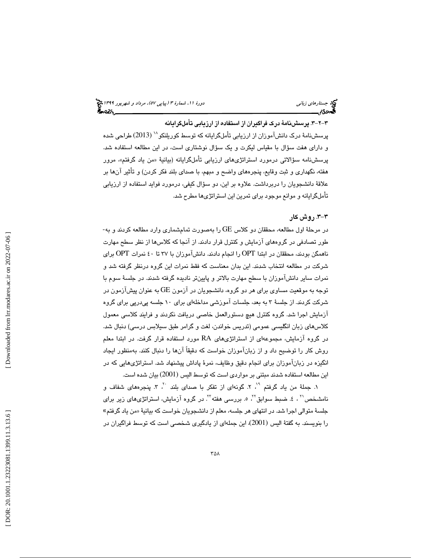-3 -2 3 . پرسشنامة درك فراگيران از استفاده از ارزيابي تأملگرايان ه پرسشنامهٔ درک دانشآموزان از ارزیابی تأملگرایانه که توسط کوریلنکو `` (2013) طراحی شده و داراي هفت سؤال با مقياس ليكرت و يك سؤال نوشتاري است، در اين مطالعه استفاده شد. پرسشنامه سؤالاتی درمورد استراتژیهای ارزیابی تأملگرایانه (بیانیهٔ «من یاد گرفتم»، مرور هفته، نگهداري و ثبت وقايع، پنجرههاي واضح و مبهم، با صداي بلند فكر كردن) و تأثير آنها بر علاقة دانشجويان را دربرداشت. علاوه بر اين، دو سؤال كيفي، درمورد فوايد استفاده از ارزيابي تأملگرايانه و موانع موجود براي تمرين اين استراتژيها مطرح شد.

#### -3 3 . روش كار

در مرحلهٔ اول مطالعه، محققان دو كلاس GE را بهصورت تمامشماري وارد مطالعه كردند و به-طور تصادفي در گروههاي آزمايش و كنترل قرار دادند از. آنجا كه كلاس از ها نظر سطح مهارت ناهمگن بودند، محققان در ابتدا OPT را انجام دادند. دانشآموزان با 37 تا 40 نمرات OPT بر اي شركت در مطالعه انتخاب شدند. اين بدان معناست كه فقط نمرات اين گروه درنظر گرفته و شد نمرات ساير دانشآموزان با سطح مهارت بالاتر و پايينتر ناديده گرفته شدند. در جلسة سوم با توجه به موقعيت مساوي براي هر دو گروه، دانشجويان در آزمون GE به عنوان پيشآزمون در شركت كردند. از جلسهٔ ۳ به بعد، جلسات آموزشي مداخلهاي براي ۱۰ جلسه پيدرپي براي گروه آزمايش اجرا شد. گروه كنترل هيچ دستورالعمل خاصي دريافت نكردند و فرايند كلاسي معمول كلاسهاي زبان انگليسي عمومي (تدريس خواندن، لغت و گرامر طبق سيلابس درسي) دنبال شد. در گروه آزمايش، مجموعهاي از استراتژيهاي RA مورد استفاده قرار گرفت. در ابتدا معلم روش كار را توضيح داد و از زبانآموزان خواست كه دقيقاً آنها را دنبال كنند. بهمنظور ايجاد انگيزه در زبانآموزان براي انجام دقيق وظايف، نمرة پاداش پيشنهاد . شد استراتژيهايي كه در این مطالعه استفاده شدند مبتنی بر مواردی است که توسط الیس (2001) بیان شده است.

١. جملة من ياد گرفتم ``، ٢. گونهاي از تفكر با صداي بلند ``، ٣. پنجرههاي شفاف و نامشخص<sup>۲</sup>' ، ٤. ضبط سوابق<sup>۲٬</sup> ه. بررسی هفته<sup>۲۲</sup>. در گروه آزمایش، استراتژیهای زیر برای جلسهٔ متوالي اجرا شد. در انتهاي هر جلسه، معلم از دانشجويان خواست كه بيانيهٔ «من ياد گرفتم» را بنويسند. به گفتۀ اليس (2001)، اين جملهای از يادگيری شخصی است كه توسط فراگيران در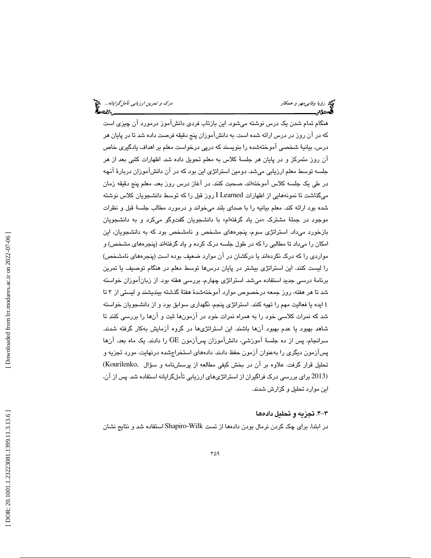هنگام تمام شدن يك درس نوشته ميشود. اين بازتاب فردي دانشآموز درمورد آن چيزي است كه در آن روز در درس ارائه شده است. به دانشآموزان پنج دقيقه فرصت داده تا شد در پايان هر درس، بيانية شخصي آموختهشده را بنويسند كه درپي درخواست معلم بر اهداف يادگيري خاص آن روز متمركز و در پايان هر جلسة كلاس به معلم تحويل داده شد. اظهارات كتبي بعد از هر جلسه توسط معلم ارزيابي ميشد. دومين استراتژي اين بود كه در آن دانشآموزان دربارهٔ آنچه در طي يك جلسه كلاس آموختهاند، صحبت كنند. در آغاز درس روز بعد، معلم پنج دقيقه زمان ميگذاشت تا نمونههايي از اظهارات Learned I روز قبل را كه توسط دانشجويان كلاس نوشته شده بود ارائه كند. معلم بيانيه را با صداى بلند ميخواند و درمورد مطالب جلسهٔ قبل و نظرات موجود در جملهٔ مشترک «من ياد گرفتهام» با دانشجويان گفتوگو ميكرد و به دانشجويان بازخورد ميداد. استراتژي سوم، پنجرههاي مشخص و نامشخص بود كه به دانشجويان، اين امكان را ميداد تا مطالبي را كه در طول جلسه درك كرده و ياد گرفتهاند (پنجرههاي مشخص) و مواردي را كه درک نکردهاند يا درکشان در آن موارد ضعيف بوده است (پنجرههاي نامشخص) را ليست كنند. اين استراتژي بيشتر در پايان درس ها توسط معلم در هنگام توصيف يا تمرين برنامة درسي جديد استفاده ميشد. استراتژي چهارم، بررسي هفته بود. از زبانآموزان خواسته تا شد هر هفته، روز جمعه درخصوص موارد آموخته شدة هفتة گذشته بينديشند و ليستي 3 از تا ٤ ايده يا فعاليت مهم را تهيه كنند. استراتژي پنجم، نگهداري سوابق بود و از دانشجويان خواسته شد كه نمرات كلاسي خود را به همراه نمرات خود در آزمونها ثبت و آنها را بررسي كنند تا شاهد بهبود يا عدم بهبود آن ها باشند . اين استراتژيها در گروه آزمايش بهكار گرفته شدند. سرانجام، پس از ده جلسة آموزشي ، دانشآموزان پسآزمون GE را دادند. يك ماه بعد، آن ها پسآزمون ديگري به را عنوان آزمون حفظ دادند. دادههاي استخراجشده درنهايت، مورد تجزيه و تحليل قرار گرفت . علاوه بر آن در بخش كيفي مطالعه از پرسشنامه و سؤال ,Kourilenko( (2013 براي بررسي درك فراگيران از استراتژيهاي ارزيابي تأملگرايانه استفاده شد. پس از آن، اين موارد تحليل و گزارش شدند.

#### -4 3 . تجزيه و تحليل داده ها

در ابتدا، براي چك كردن نرمال بودن دادهها از تست Wilk-Shapiro استفاده شد و نتايج نشان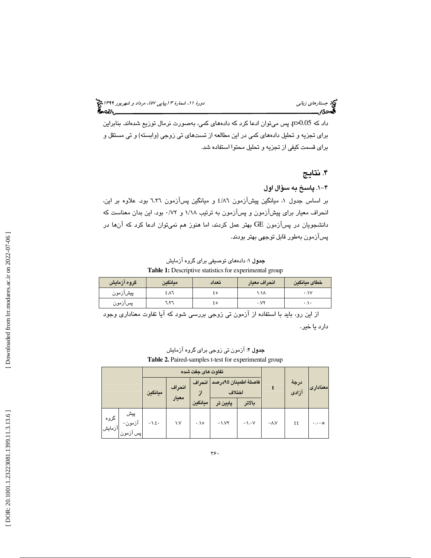# (پياپي 57)، مرداد و شهريور 1399 جستارهاي زباني دورة ،11 شمارة 3

داد كه 0.05<p. پس ميتوان ادعا كرد كه دادههاي كمي، بهصورت نرمال توزيع شدهاند. بنابراين براي تجزيه و تحليل دادههاي كمي در اين مطالعه از تستهاي تي زوجي (وابسته) و تي مستقل و براي قسمت كيفي از تجزيه و تحليل محتوا استفاده شد.

# . نتايج 4

#### -1 4 . پاسخ به سؤال اول

بر اساس جدول ۱، ميانگين پيشآزمون ۶/۸٦ و ميانگين پسآزمون ٦.٢٦ بود. علاوه بر اين، انحراف معيار براي پيشآزمون و پسآزمون به ترتيب ١/١٨ و ٠/٧٢ بود. اين بدان معناست كه دانشجويان در پسآزمون GE بهتر عمل كردند، اما هنوز هم نميتوان ادعا كرد كه آن ها در پسآزمون به طور قابل توجهي بهتر بودند.

جدول 1: دادههاي توصيفي براي گروه آزمايش **Table 1:** Descriptive statistics for experimental group

| گروه آزمایش | ميانگين | تعداد | انحراف معيار      | ً خطاى ميانگين       |
|-------------|---------|-------|-------------------|----------------------|
| پیشازمون    | ٤Λ٦     | ه ٤   | ۸۸.۱              | ۰،۱۷                 |
| پسازمون     | ۲٦.۱    | ه ٤   | $\cdot$ . $V\tau$ | $\cdot$ . \. $\cdot$ |

 از اين رو، بايد با استفاده از آزمون تي زوجي بررسي شود كه آيا تفاوت معناداري وجود دارد يا خير.

| <b>جدول ۲</b> : آزمون تی زوجی برای گروه آزمایش               |
|--------------------------------------------------------------|
| <b>Table 2.</b> Paired-samples t-test for experimental group |

| تفاوت های جفت شده |                             |         |        |                        |                                |                    |               |                           |           |
|-------------------|-----------------------------|---------|--------|------------------------|--------------------------------|--------------------|---------------|---------------------------|-----------|
|                   |                             | ميانگين | انحراف | انحراف<br>$\mathbf{J}$ | فاصلة اطمينان ٩۵درصد<br>اختلاف |                    |               | درجة<br>معناداری اترادی ا |           |
|                   |                             |         | معيار  | ميانگين                | پايين تر                       | بالاتر             |               |                           |           |
| گروه<br>آزمایش    | ا پیش<br>آزمون–<br>پس آزمون | $-1.5$  | ١.٧    | .10                    | $-1.1$                         | $-\lambda \cdot V$ | $-\Lambda$ .V | ٤٤                        | $-1.1.46$ |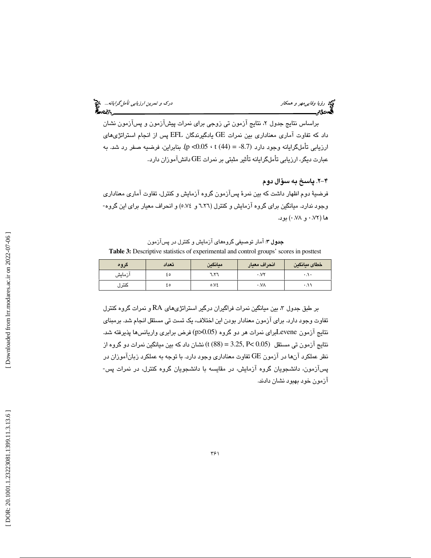ري برزيا *وفايي مهر و همكار درك و تمرين ارزيابي تأمل گرايانه...*<br>**گي**ردگان دركت است.<br>**گيردگان براي تاريخ براي تاريخ براي تاريخ براي تاريخ براي تاريخ براي تاريخ براي تاريخ براي تاريخ براي تاريخ براي** 

براساس نتايج جدول ۲، نتايج آزمون تي زوجي براي نمرات پيشآزمون و پسآزمون نشان داد كه تفاوت آماري معناداري بين نمرات GE يادگيرندگان EFL پس از انجام استراتژيهاي ارزيابي تأملگرايانه وجود دارد (8.7 = p <0.05 · t). بنابراين، فرضيه صفر رد شد. به عبارت ديگر، ارزيابي تأملگرايانه تأثير مثبتي بر نمرات GE دانشآموزان دارد.

-2 4 . پاسخ به سؤال دوم

فرضية دوم اظهار داشت كه بين نمرة پسآزمون گروه آزمايش و كنترل، تفاوت آماري معناداري وجود ندارد. ميانگين براي گروه آزمايش و كنترل (6.26 و 5.74) و انحراف معيار براي اين گروه- ها (0.72 و 0.78) بود.

**جدول ۳**: آمار توصیفی گروههای آزمایش و کنترل در پسآزمون **Table 3:** Descriptive statistics of experimental and control groups' scores in posttest

| گروه   | تعداد | ميانكين       | انحراف معيار        | خطاى ميانكين        |
|--------|-------|---------------|---------------------|---------------------|
| آزمایش | ه ٤   | ۲٦.۱          | $\cdot$ . $V\tau$   | ۰.۱۰                |
| كتترل  | ه ٤   | $0.Y\epsilon$ | $\cdot$ . $V\wedge$ | $\cdot$ . $\cdot$ . |

بر طبق جدول 3، بين ميانگين نمرات فراگيران درگير استراتژيهاي RA و نمرات گروه كنترل تفاوت وجود دارد. براي آزمون معنادار بودن اين اختلاف، يک تست تي مستقل انجام شد. برمبناي نتايج آزمون Leveneبراي نمرات هر دو گروه (0.05<p (فرض برابري واريانسها پذيرفته شد. نتايج آزمون تي مستقل (0.05 >P 3.25,) = 88 (t (نشان داد كه بين ميانگين نمرات دو گروه از نظر عملكرد آن ها در آزمون GE تفاوت معناداري وجود دارد با. توجه به عملكرد زبانآموزان در پسآزمون، دانشجويان گروه آزمايش، در مقايسه با دانشجويان گروه كنترل، در نمرات پس- آزمون خود بهبود نشان دادند .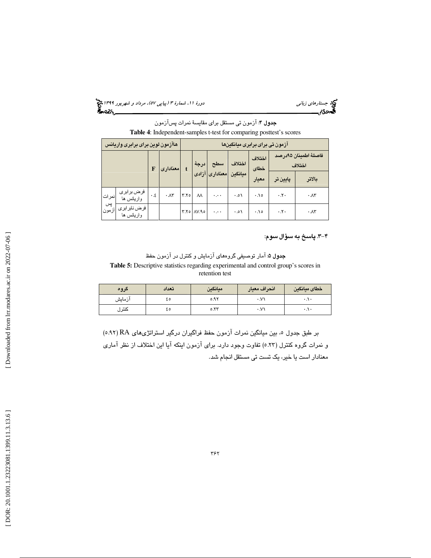(پياپي 57)، مرداد و شهريور 1399 جستارهاي زباني دورة ،11 شمارة 3

جدول 4: آزمون تي مستقل براي مقايسة نمرات پسآزمون **Table 4**: Independent-samples t-test for comparing posttest's scores

|             | هاآزمون لوين براى برابرى واريانس |     |                   |                | ازمون تی برای برابری میانگینها |           |          |                |                                |                                |
|-------------|----------------------------------|-----|-------------------|----------------|--------------------------------|-----------|----------|----------------|--------------------------------|--------------------------------|
|             |                                  |     | امعنادارى         |                | درجهٔ                          | سطح       | اختلاف   | اختلاف<br>خطاى |                                | فاصلة اطمينان ٩٥درصد<br>اختلاف |
|             |                                  |     |                   | معناداری آزادی | مبانگين                        | معيار     | يايين تر | بالاتر         |                                |                                |
| نمر ات      | فرض بر ابر ی<br>واريانس ها       | ٤.٠ | $\cdot \Lambda r$ | Y.Yo           | $\lambda\lambda$               | $\ddotsc$ | ۰.۰۱     | ۰.۱۰           | $\cdot$ . $\mathsf{y}$ .       | $\cdot \Lambda r$              |
| پس<br>ازمون | فرض نابر ابر ی<br>واريانس ها     |     |                   |                | $Y.Yo$ $AV.Ao$                 | ۰,۰۰      | ۰.۰۱     | ۰.۱۰           | $\cdot$ . $\mathsf{Y}$ $\cdot$ | $\cdot \lambda \tau$           |

-3 4 . پاسخ به سؤال سوم :

**جدول ۵:** آمار توصيفي گروههاي آزمايش و كنترل در آزمون حفظ **Table 5:** Descriptive statistics regarding experimental and control group's scores in retention test

| گروه   | تعداد | ميانكين | انحراف معيار | خطاى ميانكين        |
|--------|-------|---------|--------------|---------------------|
| آزمایش | ٤٥    | ۵.۹۲    | $\cdot$ .V)  | $\cdot \cdot \cdot$ |
| كتترل  | ه ٤   | 0.77    | $\cdot$ .V)  | $\cdot \cdot \cdot$ |

 (5.92 بر طبق جدول 5، بين ميانگين نمرات آزمون حفظ فراگيران درگير استراتژيهاي RA) و نمرات گروه كنترل ( 5.23) تفاوت وجود دارد. براي آزمون اينكه آيا اين اختلاف از نظر آماري معنادار است يا خير، يك تست تي مستقل انجام شد.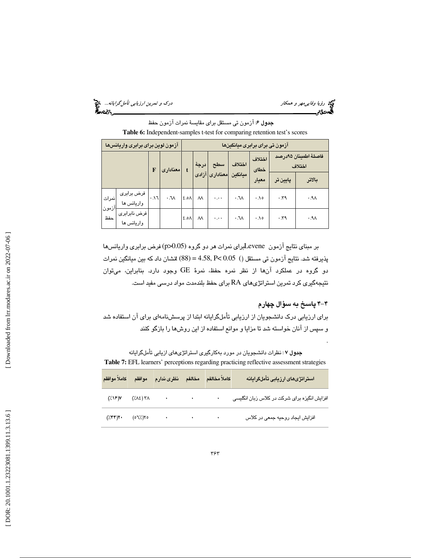ري استفاده و تمرين ارزي*ابي تأمل گرايانه...*. وقع استفاده استفاده استفاده و تمرين ارزيابي ت*أمل گرايانه...*. وقع<br>**الس**مون محمد استفاده استفاده استفاده استفاده استفاده استفاده استفاده استفاده استفاده استفاده استفاده استفاد

جدول 6: آزمون تي مستقل براي مقايسة نمرات آزمون حفظ **Table 6:** Independent-samples t-test for comparing retention test's scores

|                | آزمون لوين براى برابرى واريانسها |            |                                 |                  | ازمون تی برای برابری میانگینها |                         |                      |                |        |                                |
|----------------|----------------------------------|------------|---------------------------------|------------------|--------------------------------|-------------------------|----------------------|----------------|--------|--------------------------------|
|                |                                  |            | امعنادارى                       |                  | درجة                           | سطح                     | اختلاف               | اختلاف<br>خطاى |        | فاصلة اطمينان ٩٥درصد<br>اختلاف |
|                |                                  |            |                                 |                  |                                | ميانكين  معنادارى آزادى | معيار                | پايين تر       | بالاتر |                                |
| نمرات<br>أزمون | فرض برابری<br>واريانس ها         | $F \wedge$ | $\mathcal{M} \cdot \mathcal{M}$ | 2.0 <sub>A</sub> | $\lambda\lambda$               | وورة                    | $\cdot$ . $\sqrt{2}$ | .10            | .59    | $.9\Lambda$                    |
| حفظ            | فرض نابرابری<br>واريانس ها       |            |                                 | ۸۵. ٤            | $\lambda\lambda$               | وورة                    | $\cdot$ . $\sqrt{2}$ | .10            | .59    | $.9\Lambda$                    |

بر مبناي نتايج آزمون Leveneبراي نمرات هر دو گروه (0.05<p (فرض برابري واريانسها پذيرفته شد. نتايج آزمون تي مستقل ( ) 0.05 >P 4.58,) = 88 (tنشان داد كه بين ميانگين نمرات دو گروه در عملكرد آن از ها نظر نمره حفظ، نمرة GE وجود دارد. بنابراين، ميتوان نتيجهگيري كرد تمرين استراتژيهاي RA براي حفظ بلندمدت مواد درسي مفيد است.

#### -4 4 پاسخ به سؤال چهارم

.

براي ارزيابي درك دانشجويان از ارزيابي تأملگرايانه ابتدا از پرسشنامهاي براي آن استفاده شد و سپس از آنان خواسته شد تا مزايا و موانع استفاده از اين روشها را بازگو كنند

**جدول ۷** : نظرات دانشجویان در مورد بهکارگیری استراتژیهای ازیابی تأملگرایانه **Table 7:** EFL learners' perceptions regarding practicing reflective assessment strategies

|  | كاملأ مخالفم مخالفم نظرى ندارم موافقم كاملأ موافقم                                                                                                                                                                                                                                                            |           | استراتژیهای ارزیابی تأملگرایانه                      |
|--|---------------------------------------------------------------------------------------------------------------------------------------------------------------------------------------------------------------------------------------------------------------------------------------------------------------|-----------|------------------------------------------------------|
|  | $(\sqrt{18})V$ $(\sqrt{18})$ $\sqrt{18}$ $\sqrt{18}$ $\sqrt{18}$ $\sqrt{18}$ $\sqrt{18}$ $\sqrt{18}$ $\sqrt{18}$ $\sqrt{18}$ $\sqrt{18}$ $\sqrt{18}$ $\sqrt{18}$ $\sqrt{18}$ $\sqrt{18}$ $\sqrt{18}$ $\sqrt{18}$ $\sqrt{18}$ $\sqrt{18}$ $\sqrt{18}$ $\sqrt{18}$ $\sqrt{18}$ $\sqrt{18}$ $\sqrt{18}$ $\sqrt{$ | $\bullet$ | افزایش انگیزه برای شرکت در کلاس زبان انگلی <i>سی</i> |
|  | $(\sqrt{r})^2$ , $(\circ 7)/5$ , $(\circ 7)/5$                                                                                                                                                                                                                                                                |           | افزایش ایجاد روحیه جمعی در کلاس                      |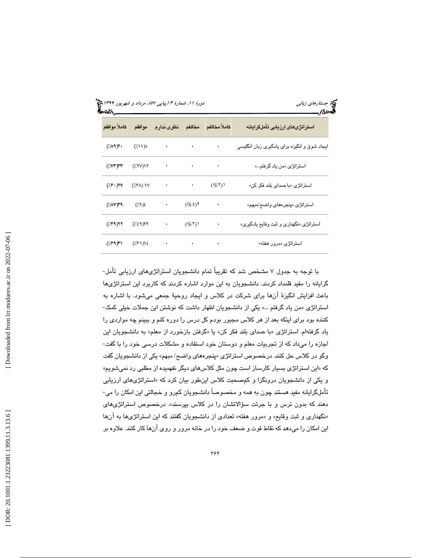| كاملأ موافقم                     | موافقم                                    | نظرى ندارم       | مخالفم                            | كاملأ مخالفم                      | استراتژیهای ارزیابی تأملگرایانه              |
|----------------------------------|-------------------------------------------|------------------|-----------------------------------|-----------------------------------|----------------------------------------------|
| $(\lambda \wedge \mathcal{A})^*$ | $(\lambda \setminus)$ ہ                   | $\sim$ $\bullet$ | <b>Contract Contract</b>          | ٠                                 | ایجاد شوق و انگیزه برای یادگیری زبان انگلیسی |
| $(\sqrt{V}V^*)$ rr               | $(\frac{1}{2}$ $\gamma$ $\gamma$          | $\sim$           | and the state of the state of the |                                   | استراتژ <i>ی</i> «من یاد گرفتم»              |
| $(\sqrt{2})^2$                   | $(XY\wedge)$ $Y\vee$                      | $\sim$           | <b>Contract Contract</b>          | (965)                             | استراتژی «با صدای بلند فکر کن»               |
| $(\sqrt{2\pi})$ ۳۹               | $(\frac{1}{2})^2$                         | $\sim$ $\bullet$ | $(\% \xi)$ ٢                      | $\bullet$                         | استراتژی «پنجرههای واضح/مبهم»                |
| (799)                            | (7.59)                                    | $\bullet$        | $(\%^{\dagger})^{\dagger}$        | ٠                                 | استراتژی «نگهداری و ثبت وقایع یادگیری»       |
| $(7.99)$ ۳۱                      | $(\frac{1}{2}(\Upsilon\Upsilon))\Sigma$ . |                  |                                   | the control of the control of the | استراتژی «مرور هفته»                         |

با توجه به جدول 7 مشخص شد كه تقريباً تمام دانشجويان استراتژيهاي ارزيابي تأمل- گرايانه را مفيد قلمداد كردند. دانشجويان به اين موارد اشاره كردند كه كاربرد اين استراتژيها باعث افزايش انگيزة آنها براي شركت در كلاس و ايجاد روحية جمعي ميشود. با اشاره به استراتژی «من ياد گرفتم …» يكي از دانشجويان اظهار داشت كه نوشتن اين جملات خيلي كمک-كننده بود براي اينكه بعد از هر كلاس مجبور بودم كل درس را دوره كنم و ببينم چه مواردي را یاد گرفتهام. استراتژی «با صدای بلند فکر کن» یا «گرفتن بازخورد از معلم» به دانشجویان این اجازه را ميداد كه از تجربيات معلم و دوستان خود استفاده و مشكلات درسي خود را با گفت- وگو در كلاس حل كنند. درخصوص استراتژي «پنجرههاي واضح/ مبهم» يكي از دانشجويان گفت «كه اين استراتژي بسيار كارساز است چون مثل كلاسهاي ديگر نفهميده از مطلبي رد نميشويم» و يكي از دانشجويان درونگرا و كمصحبت كلاس اينطور بيان كرد كه «استراتژىهاى ارزيابي تأملگرايانه مفيد هستند چون به همه و مخصوصاً دانشجويان كمرو و خجالتي اين امكان را مي- هند كه بدون ترس و با جرئت سؤالاتشان را در كلاس بپرسند». درخصوص استراتژيهاي د «نگهداري و ثبت وقايع» و «مرور هفته» تعدادي از دانشجويان گفتند كه اين استراتژيها به آنها اين امكان را ميدهد كه نقاط قوت و ضعف خود را در خانه مرور و روي آنها كار كنند. علاوه بر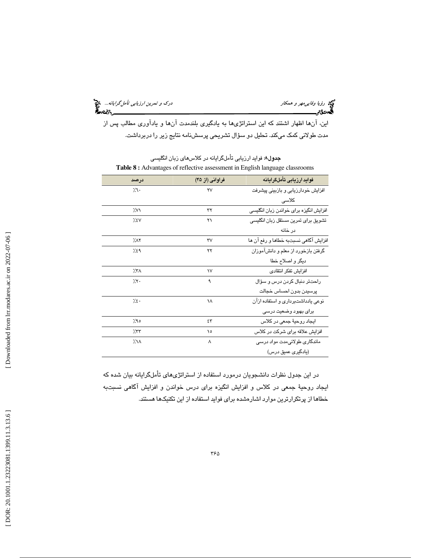ري ر*ؤيا وفايي مهر و همكار درك و تمرين ارزيابي تأمل گرايانه...*. وفع العامل گرايانه.... وفق العامل گرايانه.... وفق<br>**الله دن تاريخ العامل العامل العامل العامل العامل العامل العامل العامل العامل العامل العامل العامل العامل** 

اين، آنها اظهار اشتند كه اين استراتژيها به يادگيري بلندمدت آنها و يادآوري مطالب پس از مدت طولاني كمك ميكند. تحليل دو سؤال تشريحي پرسشنامه نتايج زير را دربرداشت.

| فراواني (از ۴۵)        | فوايد ارزيابى تأملگرايانه              |
|------------------------|----------------------------------------|
| ۲V                     | افزایش خودارزیابی و بازبینی پیشرفت     |
|                        | کلاسے                                  |
| ٣٢                     | افزایش انگیزه برای خواندن زبان انگلیسی |
| ۲۱                     | تشويق براى تمرين مستقل زبان انگليسى    |
|                        | در خانه                                |
| $\mathsf{r}\mathsf{v}$ | افزایش آگاهی نسبتبه خطاها و رفع آن ها  |
| ۲۲                     | گرفتن بازخورد از معلم و دانشآموزان     |
|                        | دیگر و اصلاح خطا                       |
| $\mathsf{v}$           | افزايش تفكر انتقادى                    |
| ٩                      | راحتتر دنبال کردن درس و سؤال           |
|                        | پرسیدن بدون احساس خجالت                |
| ١٨                     | نوعی یادداشتبرداری و استفاده ازآن      |
|                        | برای بهبود وضعیت درسی                  |
| ٤٣                     | ايجاد روحيۀ جمعی در کلاس               |
| ۱٥                     | افزایش علاقه برای شرکت در کلاس         |
| ٨                      | ماندگاری طولانیمدت مواد درسی           |
|                        | (یادگیری عمیق درس)                     |
|                        |                                        |

جدول 8: فوايد ارزيابي تأملگرايانه در كلاسهاي زبان انگليسي **Table 8 :** Advantages of reflective assessment in English language classrooms

در اين جدول نظرات دانشجويان درمورد استفاده از استراتژيهاي تأملگرايانه بيان شده كه ايجاد روحية جمعي در كلاس و افزايش انگيزه براي درس خواندن و افزايش آگاهي نسبتبه خطاها از پرتكرارترين موارد اشارهشده براي فوايد استفاده از اين تكنيكها هستند.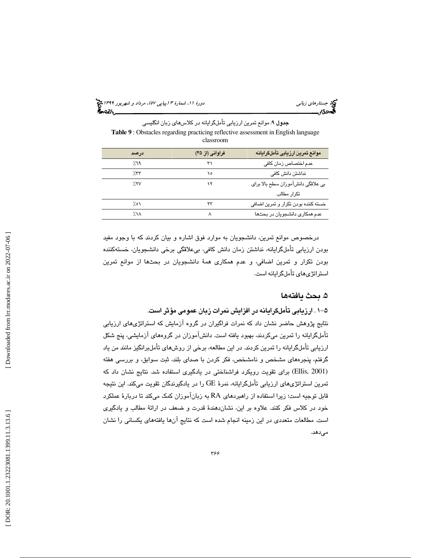(پياپي 57)، مرداد و شهريور 1399 جستارهاي زباني دورة ،11 شمارة 3

جدول 9: موانع تمرين ارزيابي تأملگرايانه در كلاسهاي زبان انگليسي **Table 9** : Obstacles regarding practicing reflective assessment in English language classroom

| درصد         | فراواني (از ۴۵) | موانع تمرين ارزيابي تأملكرايانه     |
|--------------|-----------------|-------------------------------------|
| 7.٦٩         | ٣١              | عدم اختصاص زمان كافى                |
| 7.77         | ١٥              | نداشتن دانش كافى                    |
| 7'           | ۱۲              | بي علاقگي دانش آموزان سطح بالا براي |
|              |                 | تكرار مطالب                         |
| ۱ه ٪         | ۲۳              | خسته کننده بودن تکرار و تمرین اضافی |
| $7.1\lambda$ | Λ               | عدم همکاری دانشجویان در بحثها       |

درخصوص موانع تمرين، دانشجويان به موارد فوق اشاره و بيان كردند كه با وجود مفيد بودن ارزيابي تأملگرايانه، نداشتن زمان دانش كافي، بيعلاقگي برخي دانشجويان، خستهكننده بودن تكرار و تمرين اضافي، و عدم همكاري همة دانشجويان در بحثها از موانع تمرين استراتژيهاي تأملگرايانه است.

### 5. بحث يافته ها

-1 5 . ارزيابي تأملگرايانه در افزايش نمرات زبان عمومي مؤثر است.

نتايج پژوهش حاضر نشان داد كه نمرات فراگيران در گروه آزمايش كه استراتژيهاي ارزيابي تأملگرايانه را تمرين ميكردند، بهبود يافته است. دانشآموزان در گروههاي آزمايشي، پنج شكل ارزيابي تأملگرايانه را تمرين كردند. در اين مطالعه، برخي از روشهاي تأملبرانگيز مانند من ياد گرفتم، پنجرههاي مشخص و نامشخص، فكر كردن با صداي بلند، ثبت سوابق، و بررسي هفته (Ellis, 2001) برای تقویت رویکرد فراشناختی در یادگیری استفاده شد. نتایج نشان داد كه تمرين استراتژيهاي ارزيابي تأملگرايانه، نمرة GE را در يادگيرندگان تقويت ميكند. اين نتيجه قابل توجيه است؛ زيرا استفاده از راهبردهاي RA به زبانآموزان كمك مي تا كند دربارة عملكرد خود در كلاس فكر كنند. علاوه بر اين، نشان دهندهٔ قدرت و ضعف در ارائهٔ مطالب و يادگيري است. مطالعات متعددی در اين زمينه انجام شده است كه نتايج آنها يافتههای يكسانی را نشان<br>میدهد.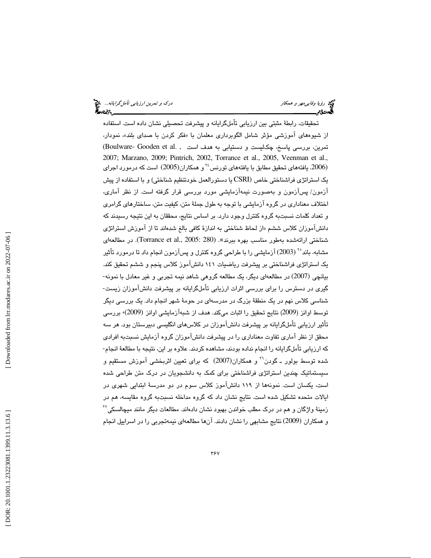تحقيقات، رابطة مثبتي بين ارزيابي تأملگرايانه و پيشرفت تحصيلي نشان داده است. استفاده از شيوههاي آموزشي مؤثر شامل الگوبرداري معلمان با «فكر كردن با صداي بلند»، نمودار، تمرين، بررسي پاسخ، چكليست و دستيابي به هدف است , .Boulware- Gooden et al 2007; Marzano, 2009; Pintrich, 2002, Torrance et al., 2005, Veenman et al., يافتههاي تحقيق مطابق با يافتههاي تورنس و همكاران(2005) است كه درمورد اجراي <sup>24</sup> (.2006 يک استراتژی فراشناختی خاص (CSRI يا دستورالعمل خودتنظيم شناختی) و با استفاده از پيش آزمون/ پسآزمون و بهصورت نيمهآزمايشي مورد بررسي قرار گرفته است از. نظر آماري ، اختلاف معناداري در گروه آزمايشي با توجه به طول جملة متن، كيفيت متن، ساختارهاي گرامري و تعداد كلمات نسبت به گروه كنترل وجود دارد. بر اساس نتايج، محققان به اين نتيجه رسيدند كه دانشآموزان كلاس ششم «از لحاظ شناختي به اندازهٔ كافي بالغ شدهاند تا از آموزش استراتژي شناختي ارائهشده بهطور مناسب بهره ببرند». (Torrance et al., 2005: 280). در مطالعهاي مشابه، باند°<sup>۲</sup> (2003) آزمایشی را با طراحی گروه کنترل و پسآزمون انجام داد تا درمورد تأثیر يك استراتژي فراشناختي بر پيشرفت رياضيات 141 دانشآموز كلاس پنجم و ششم تحقيق كند. بيانچي (2007) در مطالعهاي ديگر، يك مطالعه گروهي شاهد نيمه تجربي و غير معادل با نمونه- گيري در دسترس را براي بررسي اثرات ارزيابي تأملگرايانه بر پيشرفت دانشآموزان زيست- شناسي كلاس نهم در يك منطقة بزرگ در مدرسهاي در حومة شهر انجام داد. يك بررسي ديگر توسط اوانز (2009) نتايج تحقيق را اثبات مىكند. هدف از شبهآزمايشى اوانز (2009)، بررسى تأثير ارزيابي تأملگرايانه بر پيشرفت دانشآموزان در كلاسهاي انگليسي دبيرستان بود. هر سه محقق از نظر آماري تفاوت معناداري را در پيشرفت دانشآموزان گروه آزمايش نسبت به افرادي كه ارزيابي تأملگرايانه را انجام نداده بودند، مشاهده كردند. علاوه بر اين، نتيجه با مطالعهٔ انجام-شده توسط بولور ـ گودن<sup>۲</sup>' و همکاران(2007) که برای تعیین اثربخشی آموزش مستقیم و سيستماتيك چندين استراتژي فراشناختي براي كمك به دانشجويان در درك متن طراحي شده است، يكسان است. نمونهها از ۱۱۹ دانشآموز كلاس سوم در دو مدرسهٔ ابتدايي شهري در ايالات متحده تشكيل شده است. نتايج نشان داد كه گروه مداخله نسبت به گروه مقايسه، هم در  $^{^\mathrm{YY}}$ زمینهٔ واژگان و هم در درک مطلب خواندن بهبود نشان دادهاند. مطالعات دیگر مانند میچالسکی و همكاران (2009) نتايج مشابهي را نشان دادند. آنها مطالعهاي نيمهتجربي را در اسراييل انجام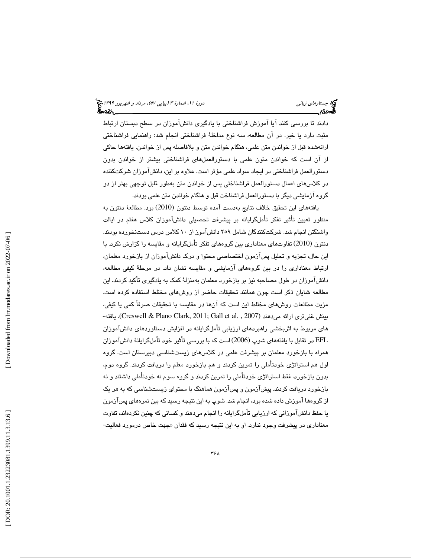دادند تا بررسي كنند آيا آموزش فراشناختي با يادگيري دانشآموزان در سطح دبستان ارتباط مثبت دارد يا خير. در آن مطالعه، سه نوع مداخلهٔ فراشناختي انجام شد: راهنمايي فراشناختي ارائهشده قبل از خواندن متن علمي، هنگام خواندن متن و بلافاصله پس از خواندن. يافتهها حاكي از آن است كه خواندن متون علمي با دستورالعملهاي فراشناختي بيشتر از خواندن بدون دستورالعمل فراشناختي در ايجاد سواد علمي مؤثر است. علاوه بر اين، دانشآموزان شركتكننده در كلاسهاي اعمال دستورالعمل فراشناختي پس از خواندن متن به طور قابل توجهي بهتر از دو گروه آزمايشي ديگر با دستورالعمل فراشناخت قبل و هنگام خواندن متن علمي بودند .

يافتههاي اين تحقيق خلاف نتايج بهدست آمده توسط دنتون (2010) بود. مطالعهٔ دنتون به منظور تعيين تأثير تفكر تأملگرايانه بر پيشرفت تحصيلي د انشآموزان كلاس هفتم در ايالت واشنگتن انجام شد. شركتكنندگان شامل ٢٥٩ دانشآموز از ١٠ كلاس درس دستنخورده بودند. دنتون (2010) تفاوتهاي معناداري بين گروههاي تفكر تأملگرايانه و مقايسه را گزارش نكرد. با اين حال، تجزيه و تحليل پسآزمون اختصاصي محتوا و درك د انشآموزان از بازخورد معلمان، ارتباط معناداري را در بين گروههاي آزمايشي و مقايسه نشان داد. در مرحلة كيفي مطالعه، دانشآموزان در طول مصاحبه نيز بر بازخورد معلمان بهمنزلة كمک به يادگيري تأكيد كردند. اين مطالعه شايان ذكر است چون همانند تحقيقات حاضر از روشه اي مختلط استفاده كرده است. مزيت مطالعات روشهاي مختلط اين است كه آن ها در مقايسه با تحقيقات صرفاً كمي يا كيفي، -يافته .) Creswell & Plano Clark, 2011; Gall et al. , 2007) ميدهند ارائه غنيتري بينش هاي مربوط به اثربخشي راهبردهاي ارزيابي تأملگرايانه در افزايش دستاوردهاي دانشآموزان 2006) است كه با بررسي تأثير خود تأملگرايانة دانشآموزان EFL در تقابل با يافتههاي شوپ ( همراه با بازخورد معلمان بر پيشرفت علمي در كلاسهاي زيستشناسي دبيرستان است. گروه اول هم استراتژي خودتأملي را تمرين كردند و هم بازخورد معلم را دريافت كردند. گروه دوم، بدون بازخورد، فقط استراتژي خودتأملي را تمرين كردند و گروه سوم نه خودتأملي داشتند و نه بازخورد دريافت كردند. پيشآزمون و پسآزمون هماهنگ با محتواي زيستشناسي به كه هر يك از گروهها آموزش داده شده بود، انجام شد. شوپ به اين نتيجه رسيد كه بين نمرههاي پسآزمون يا حفظ دانشآموزاني كه ارزيابي تأملگرايانه را انجام ميدهند و كساني كه چنين نكردهاند، تفاوت معناداري در پيشرفت وجود ندارد. او به اين نتيجه رسيد كه فقدان «جهت خاص درمورد فعاليت-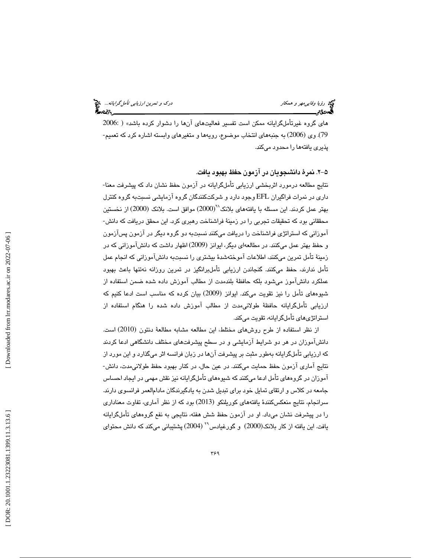های گروه غیرتأملگرایانه ممکن است تفسیر فعالیتهای آنها را دشوار کرده باشد» ( :2006 79). وي (2006) به جنبههاي انتخاب موضوع، رويهها و متغيرهاي وابسته اشاره كرد كه تعميم-پذيري يافتهها را محدود ميكند.

#### -2 5 . نمرة دانشجويان در آزمون حفظ بهبود يافت.

نتايج مطالعه درمورد اثربخشي ارزيابي تأملگرايانه در آزمون ظحف نشان داد كه پيشرفت معنا- داري در نمرات فراگيران EFL وجود دارد و شركتكنندگان گروه آزمايشي نسبت به گروه كنترل بهتر عمل كردند. اين مسئله با يافتههاي بلانك $(2000)$  موافق است. بلانك  $(2000)$  از نخستين محققاني بود كه تحقيقات تجربي را در زمينهٔ فراشناخت رهبري كرد. اين محقق دريافت كه دانش-آموزاني كه استراتژي فراشناخت را دريافت ميكنند نسبت به دو گروه ديگر در آزمون پسآزمون و حفظ بهتر عمل ميكنند. در مطالعه اي ديگر، ايوانز (2009) اظهار داشت كه دانشآموزاني كه در زمينة تأمل تمرين ميكنند، اطلاعات آموختهشدة بيشتري را نسبت به دانشآموزاني كه انجام عمل تأمل ندارند، حفظ ميكنند. گنجاندن ارزيابي تأملبرانگيز در تمرين روزانه نه تنها باعث بهبود عملكرد دانشآموز ميشود بلكه حافظة بلندمدت از مطالب آموزش داده شده ضمن استفاده از شيوههای تأمل را نيز تقويت مىكند. ايوانز (2009) بيان كرده كه مناسب است ادعا كنيم كه ارزيابي تأملگرايانه حافظة طولانيمدت از مطالب آموزش داده شده را هنگام استفاده از استراتژیهای تأملگرايانه، تقويت میکند.

از نظر استفاده از طرح روشهاى مختلط، اين مطالعه مشابه مطالعهٔ دنتون (2010) است. دانشآموزان در هر دو شرايط آزمايشي و در سطح پيشرفتهاي مختلف دانشگاهي ادعا كردند كه ارزيابي تأملگرايانه بهطور مثبت بر پيشرفت آن ها در زبان فرانسه اثر ميگذارد و اين مورد از نتايج آماري آزمون حفظ حمايت ميكنند. در عين حال، در كنار بهبود حفظ طولانيمدت، دانش- آموزان در گروههای تأمل ادعا میکنند که شیوههای تأملگرایانه نیز نقش مهمی در ایجاد احساس جامعه در كلاس و ارتقاي تمايل خود براي تبديل شدن به يادگيرندگان مادامالعمر فرانسوي دارند . سرانجام، نتايج منعكسكنندهٔ يافتههاى كوريلنكو (2013) بود كه از نظر آمارى، تفاوت معنادارى را در پيشرفت نشان ميداد. او در آزمون حفظ شش هفته، نتايجي به نفع گروههاي تأملگرايانه يافت. اين يافته از كار بلانك(2000) و گورغيادس<sup>٢٩</sup> (2004) پشتيباني ميكند كه دانش محتواي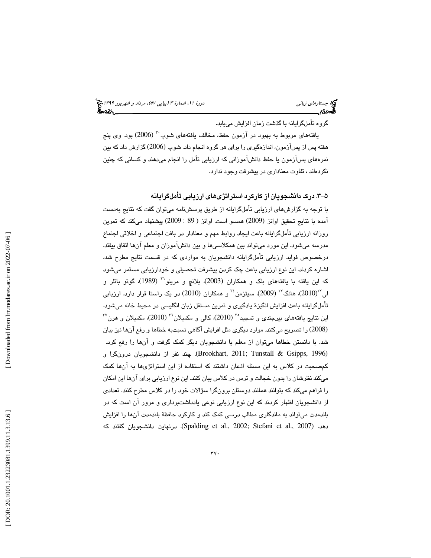#### گروه تأملگرايانه با گذشت زمان افزايش مييابد .

يافتههاي مربوط به بهبود در آزمون حفظ، مخالف يافتههاي شوپ<sup>۲۰</sup> (2006) بود. وي پنج هفته پس از پسآزمون، اندازهگیری را برای هر گروه انجام داد. شوپ (2006) گزارش داد که بین نمرههاي پسآزمون يا حفظ دانشآموزاني كه ارزيابي تأمل را انجام ميدهند و كساني كه چنين نكردهاند ، تفاوت معناداري در پيشرفت وجود ندارد.

#### -3 5 . درك دانشجويان از كاركرد استراتژيهاي ارزيابي تأملگرايانه

با توجه به گزارشهاي ارزيابي تأملگرايانه از طريق پرسشنامه ميتوان گفت كه نتايج بهدست آمده با نتايج تحقيق اوانز (2009) همسو است. اوانز ( 89 : 2009) پيشنهاد مىكند كه تمرين روزانه ارزيابي تأملگرايانه باعث ايجاد روابط مهم و معنادار در بافت اجتماعي و اخلاقي اجتماع مدرسه ميشود . اين مورد ميتواند بين همكلاسيها و بين دانشآموزان و معلم آنها اتفاق بيفتد. درخصوص فوايد ارزيابي تأملگرايانه دانشجويان به مواردي كه در قسمت نتايج مطرح شد، اشاره كردند. اين نوع ارزيابي باعث چك كردن پيشرفت تحصيلي و خودارزيابي مستمر ميشود كه اين يافته با يافتههاى بلك و همكاران (2003)، بلانچ و مرينو`` (1989)، گوتو باتلر و لمي $^{7^{\mathfrak{c}}}$  هانگ $^{7^{\mathfrak{c}}}$  (2009)، سيتزمن $^{3^{\mathfrak{c}}}$  و همكاران (2010) در يک راستا قرار دارد. ارزيابي تأملگرايانه باعث افزايش انگيزهٔ يادگيري و تمرين مستقل زبان انگليسي در محيط خانه ميشود.  $^{17}$ اين نتايج يافتههاي بيرجندي و تمجيد $^{87}$  (2010)، كالي و مكميلان $^{77}$  (2010)، مكميلان و هرن (2008) را تصريح ميكنند. موارد ديگري مثل افرايش آگاهي نسبتبه خطاها و رفع آنها نيز بيان شد. با دانستن خطاها ميتوان از معلم يا دانشجويان ديگر كمك گرفت و نآ ها را رفع كرد. (1996 ,Gsipps & Tunstall; 2011 ,Brookhart(. چند نفر از دانشجويان درونگرا و كمصحبت در كلاس به اين مسئله اذعان داشتند كه استفاده از اين استراتژيها به آنها كمك ميكند نظرشان را بدون خجالت و ترس در كلاس بيان كنند. اين نوع ارزيابي براي آنها اين امكان را فراهم میکند که بتوانند همانند دوستان برونگرا سؤالات خود را در کلاس مطرح کنند. تعدادی از دانشجویان اظهار کردند که این نوع ارزیابی نوعی یادداشتبرداری و مرور آن است که در بلندمدت میتواند به ماندگاری مطالب درسی کمک کند و کارکرد حافظهٔ بلندمدت آنها را افزایش . درنهايت دانشجويان گفتند كه (Spalding et al., 2002; Stefani et al., 2007) .دهد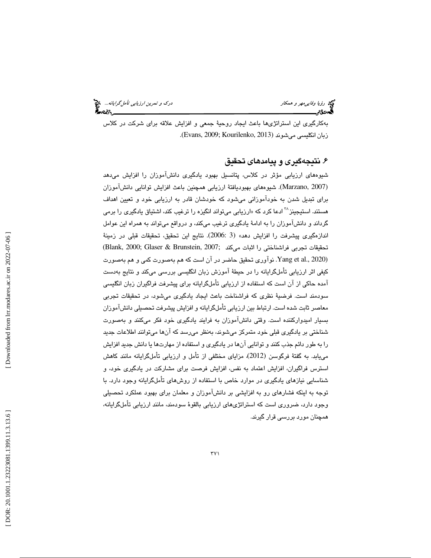بهكارگيري اين استراتژيها باعث ايجاد روحيهٔ جمعي و افزايش علاقه براي شركت در كلاس زبان انكليسي مي شوند (2013 ,Evans, 2009; Kourilenko).

# . نتيجهگيري و پيامدهاي تحقيق 6

شيوههاي ارزيابي مؤثر در كلاس، پتانسيل بهبود يادگيري دانشآموزان را افزايش ميدهد (Marzano, 2007). شىيوەھاي بھبوديافتۀ ارزيابى ھمچنين باعث افزايش توانايى دانشآموزان براي تبديل شدن به خودآموزاني ميشود كه خودشان قادر به ارزيابي خود و تعيين اهداف هستند. استيجينز<sup>۳۸</sup> ادعا كرد كه «ارزياب*ي* ميتواند انگيزه را ترغيب كند، اشتياق يادگيری را برمی گرداند و دانشآموزان را به ادامهٔ يادگيري ترغيب ميكند، و درواقع ميتواند به همراه اين عوامل اندازهگيري پيشرفت را افزايش دهد» (3 :2006). نتايج اين تحقيق، تحقيقات قبلي در زمينهٔ تحقيقات تجربي فراشناختي را اثبات مي كند ;2007 ,Brunstein & Glaser; 2000 ,Blank( (2020 .,al et Yang . نوآوري تحقيق حاضر در آن است كه هم بهصورت كمي و هم بهصورت كيفي اثر ارزيابي تأملگرايانه را در حيطة آموزش زبان انگليسي بررسي ميكند و نتايج بهدست آمده حاكي از آن است كه استفاده از ارزيابي تأملگرايانه براي پيشرفت فراگيران زبان انگليسي سودمند است. فرضية نظري كه فراشناخت باعث ايجاد يادگيري ميشود، در تحقيقات تجربي معاصر ثابت شده است. ارتباط بين ارزيابي تأملگرايانه و افزايش پيشرفت تحصيلي دانشآموزان بسيار اميدواركننده است. وقتي دانشآموزان به فرايند يادگيري خود فكر ميكنند و بهصورت شناختي بر يادگيري قبلي خود متمركز ميشوند، به نظر ميرسد كه آن ها ميتوانند اطلاعات جديد را به طور دائم جذب كنند و توانايي آنها در يادگيري و استفاده از مهارتها يا دانش جديد افزايش مییابد. به گفتهٔ فرگوسن (2012)، مزایای مختلفی از تأمل و ارزیابی تأملگرایانه مانند کاهش استرس فراگيران، افزايش اعتماد به نفس، افزايش فرصت براي مشاركت در يادگيري خود، و شناسايي نيازهاي يادگيري در موارد خاص با استفاده از روشهاي تأملگرايانه وجود دارد با . توجه به اينكه فشارهاي به رو افزايشي بر دانشآموزان و معلمان براي بهبود عملكرد تحصيلي وجود دارد، ضروري است كه استراتژيهاي ارزيابي بالقوة سودمند، مانند ارزيابي تأملگرايانه، همچنان مورد بررسي قرار گيرند .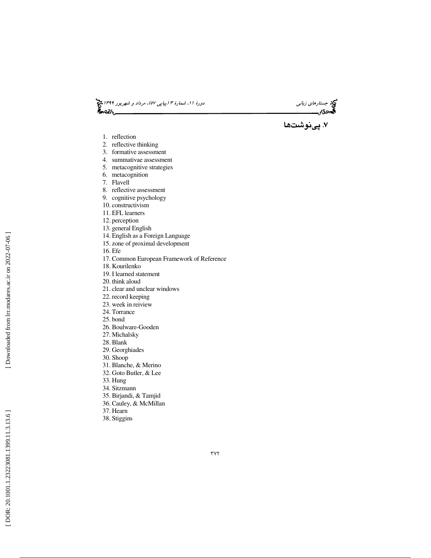د*ورهٔ ۱۱، شمارهٔ ۳ (پياپي ۵۷)، مرداد و شهريور ۱۳۹۹ چ*يخ<br>**گفت** 



. پينوشتها 7

- 1. reflection
- 2. reflective thinking
- 3. formative assessment
- 4. summativae assessment
- 5. metacognitive strategies
- 6. metacognition
- 7. Flavell
- 8. reflective assessment
- 9. cognitive psychology
- 10. constructivism
- 11. EFL learners
- 12. perception
- 13. general English
- 14. English as a Foreign Language
- 15. zone of proximal development
- 16. Efe
- 17. Common European Framework of Reference
- 18. Kourilenko
- 19. I learned statement
- 20. think aloud
- 21. clear and unclear windows
- 22. record keeping
- 23. week in reiview
- 24. Torrance
- 25. bond
- 26. Boulware-Gooden
- 27. Michalsky
- 28. Blank
- 29. Georghiades
- 30. Shoop
- 31. Blanche, & Merino
- 32. Goto Butler, & Lee
- 33. Hung
- 34. Sitzmann
- 35. Birjandi, & Tamjid
- 36. Cauley, & McMillan
- 37. Hearn
- 38. Stiggins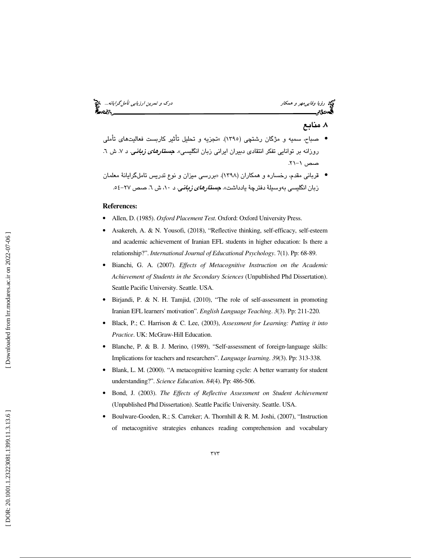ري.<br>79 ر*ؤيا وفايي مهر و همكار* دركتر و تمر*ين ارزيابي تأملگرايانه...*. فيم<br>**8 درك** و سيست بين الله تأمين الله تأمين الله تأمين الله تأمين الله تأمين الله تأمين الله تأمين الله تأمين الله

# . منابع 8

- صباح، سميه و مژگان رشتچي (1395). »تجزيه و تحليل تأثير كاربست فعاليتهاي تأملي روزانه بر توانايي تفكر انتقادي دبيران ايراني زبان انگلي*سي». جستار<i>هاي زباني. د ۷*. ش ۲. صص ۱–۲۱.
- قرباني مقدم، رخساره و همكاران (1398). «بررسي ميزان و نوع تدريس تاملگرايانة معلمان زبان انگلیسی بهوسیلهٔ دفترچهٔ یادداشت». *جست<i>ارهای زبانی.* **د ۱۰،** ش ٦. صص ٢٧–٥٤.

#### **References:**

- Allen, D. (1985). *Oxford Placement Test*. Oxford: Oxford University Press.
- Asakereh, A. & N. Yousofi, (2018), "Reflective thinking, self-efficacy, self-esteem and academic achievement of Iranian EFL students in higher education: Is there a relationship?". *International Journal of Educational Psychology*. 7(1). Pp: 68-89.
- Bianchi, G. A. (2007). *Effects of Metacognitive Instruction on the Academic Achievement of Students in the Secondary Sciences* (Unpublished Phd Dissertation). Seattle Pacific University. Seattle. USA.
- Birjandi, P. & N. H. Tamjid, (2010), "The role of self-assessment in promoting Iranian EFL learners' motivation". *English Language Teaching*. *3*(3). Pp: 211-220.
- Black, P.; C. Harrison & C. Lee, (2003), *Assessment for Learning: Putting it into Practice*. UK: McGraw-Hill Education.
- Blanche, P. & B. J. Merino, (1989), "Self-assessment of foreign-language skills: Implications for teachers and researchers". *Language learning*. *39*(3). Pp: 313-338.
- Blank, L. M. (2000). "A metacognitive learning cycle: A better warranty for student understanding?". *Science Education*. *84*(4). Pp: 486-506.
- Bond, J. (2003). *The Effects of Reflective Assessment on Student Achievement* (Unpublished Phd Dissertation). Seattle Pacific University. Seattle. USA.
- Boulware-Gooden, R.; S. Carreker; A. Thornhill & R. M. Joshi, (2007), "Instruction of metacognitive strategies enhances reading comprehension and vocabulary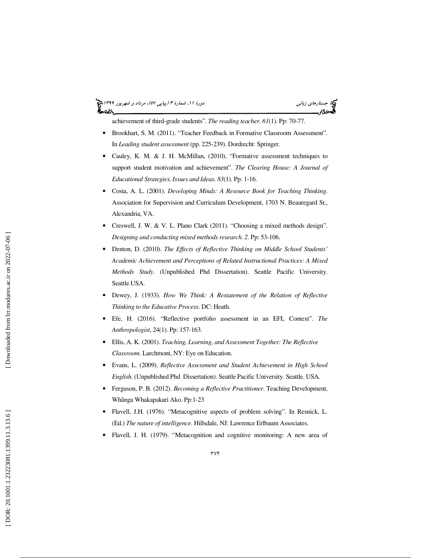#### (پياپي 57)، مرداد و شهريور 1399 جستارهاي زباني دورة ،11 شمارة 3 આંદ

achievement of third-grade students". *The reading teacher*. *61*(1). Pp: 70-77.

- Brookhart, S. M. (2011). "Teacher Feedback in Formative Classroom Assessment". In *Leading student assessment* (pp. 225-239). Dordrecht: Springer.
- Cauley, K. M. & J. H. McMillan, (2010), "Formative assessment techniques to support student motivation and achievement". *The Clearing House: A Journal of Educational Strategies, Issues and Ideas*. *83*(1). Pp: 1-16.
- Costa, A. L. (2001). *Developing Minds: A Resource Book for Teaching Thinking*. Association for Supervision and Curriculum Development, 1703 N. Beauregard St., Alexandria, VA.
- Creswell, J. W. & V. L. Plano Clark (2011). "Choosing a mixed methods design". *Designing and conducting mixed methods research*. *2*. Pp: 53-106.
- Denton, D. (2010). *The Effects of Reflective Thinking on Middle School Students' Academic Achievement and Perceptions of Related Instructional Practices: A Mixed Methods Study*. (Unpublished Phd Dissertation). Seattle Pacific University. Seattle.USA.
- Dewey, J. (1933). *How We Think: A Restatement of the Relation of Reflective Thinking to the Educative Process*. DC: Heath.
- Efe, H. (2016). "Reflective portfolio assessment in an EFL Context". *The Anthropologist*, 24(1). Pp: 157-163.
- Ellis, A. K. (2001). *Teaching, Learning, and Assessment Together: The Reflective Classroom*. Larchmont, NY: Eye on Education.
- Evans, L. (2009). *Reflective Assessment and Student Achievement in High School English*. (Unpublished Phd Dissertation). Seattle Pacific University. Seattle. USA.
- Ferguson, P. B. (2012). *Becoming a Reflective Practitioner*. Teaching Development, Whânga Whakapakari Ako. Pp:1-23
- Flavell, J.H. (1976). "Metacognitive aspects of problem solving". In Resnick, L. (Ed.) *The nature of intelligence*. Hillsdale, NJ: Lawrence Erlbaum Associates.
- Flavell, J. H. (1979). "Metacognition and cognitive monitoring: A new area of

Downloaded from lrr.modares.ac.ir on 2022-07-06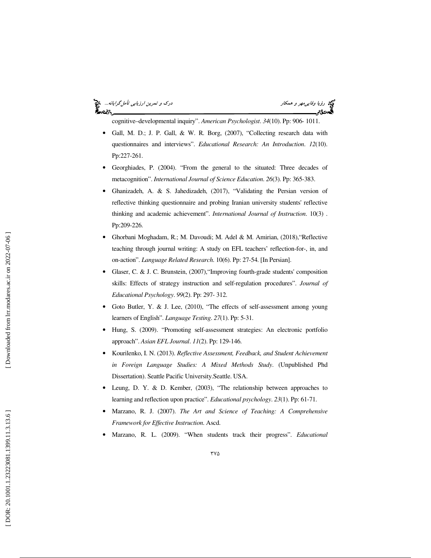#### ري.<br>كيلا رؤيا *وفايي مهر و همكار درك درك و تمرين ارزيابي تأمل گرايانه...*<br>**گيهد**د؟م '∽વ્ડ

cognitive–developmental inquiry". *American Psychologist*. *34*(10). Pp: 906- 1011.

- Gall, M. D.; J. P. Gall, & W. R. Borg, (2007), "Collecting research data with questionnaires and interviews". *Educational Research: An Introduction*. *12*(10). Pp:227-261.
- Georghiades, P. (2004). "From the general to the situated: Three decades of metacognition". *International Journal of Science Education*. *26*(3). Pp: 365-383.
- Ghanizadeh, A. & S. Jahedizadeh, (2017), "Validating the Persian version of reflective thinking questionnaire and probing Iranian university students' reflective thinking and academic achievement". *International Journal of Instruction*. 10(3) . Pp:209-226.
- Ghorbani Moghadam, R.; M. Davoudi; M. Adel & M. Amirian, (2018),"Reflective teaching through journal writing: A study on EFL teachers' reflection-for-, in, and on-action". *Language Related Research*. 10(6). Pp: 27-54. [In Persian].
- Glaser, C. & J. C. Brunstein, (2007),"Improving fourth-grade students' composition skills: Effects of strategy instruction and self-regulation procedures". *Journal of Educational Psychology*. *99*(2). Pp: 297- 312.
- Goto Butler, Y. & J. Lee, (2010), "The effects of self-assessment among young learners of English". *Language Testing*. *27*(1). Pp: 5-31.
- Hung, S. (2009). "Promoting self-assessment strategies: An electronic portfolio approach". *Asian EFL Journal*. *11*(2). Pp: 129-146.
- Kourilenko, I. N. (2013). *Reflective Assessment, Feedback, and Student Achievement in Foreign Language Studies: A Mixed Methods Study*. (Unpublished Phd Dissertation). Seattle Pacific University.Seattle. USA.
- Leung, D. Y. & D. Kember, (2003), "The relationship between approaches to learning and reflection upon practice". *Educational psychology*. *23*(1). Pp: 61-71.
- Marzano, R. J. (2007). *The Art and Science of Teaching: A Comprehensive Framework for Effective Instruction*. Ascd.
- Marzano, R. L. (2009). "When students track their progress". *Educational*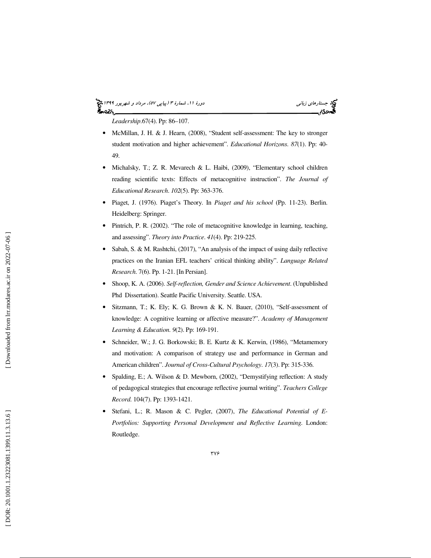#### (پياپي 57)، مرداد و شهريور 1399 جستارهاي زباني دورة ،11 شمارة 3 આ પ્રિજ્



*Leadership*.67(4). Pp: 86–107.

- McMillan, J. H. & J. Hearn, (2008), "Student self-assessment: The key to stronger student motivation and higher achievement". *Educational Horizons*. *87*(1). Pp: 40- 49.
- Michalsky, T.; Z. R. Mevarech & L. Haibi, (2009), "Elementary school children reading scientific texts: Effects of metacognitive instruction". *The Journal of Educational Research*. *102*(5). Pp: 363-376.
- Piaget, J. (1976). Piaget's Theory. In *Piaget and his school* (Pp. 11-23). Berlin. Heidelberg: Springer.
- Pintrich, P. R. (2002). "The role of metacognitive knowledge in learning, teaching, and assessing". *Theory into Practice*. *41*(4). Pp: 219-225.
- Sabah, S. & M. Rashtchi, (2017), "An analysis of the impact of using daily reflective practices on the Iranian EFL teachers' critical thinking ability". *Language Related Research*. 7(6). Pp. 1-21. [In Persian].
- Shoop, K. A. (2006). *Self-reflection, Gender and Science Achievement*. (Unpublished Phd Dissertation). Seattle Pacific University. Seattle. USA.
- Sitzmann, T.; K. Ely; K. G. Brown & K. N. Bauer, (2010), "Self-assessment of knowledge: A cognitive learning or affective measure?". *Academy of Management Learning & Education*. *9*(2). Pp: 169-191.
- Schneider, W.; J. G. Borkowski; B. E. Kurtz & K. Kerwin, (1986), "Metamemory and motivation: A comparison of strategy use and performance in German and American children". *Journal of Cross-Cultural Psychology*. *17*(3). Pp: 315-336.
- Spalding, E.; A. Wilson & D. Mewborn, (2002), "Demystifying reflection: A study of pedagogical strategies that encourage reflective journal writing". *Teachers College Record*. 104(7). Pp: 1393-1421.
- Stefani, L.; R. Mason & C. Pegler, (2007), *The Educational Potential of E-Portfolios: Supporting Personal Development and Reflective Learning*. London: Routledge.